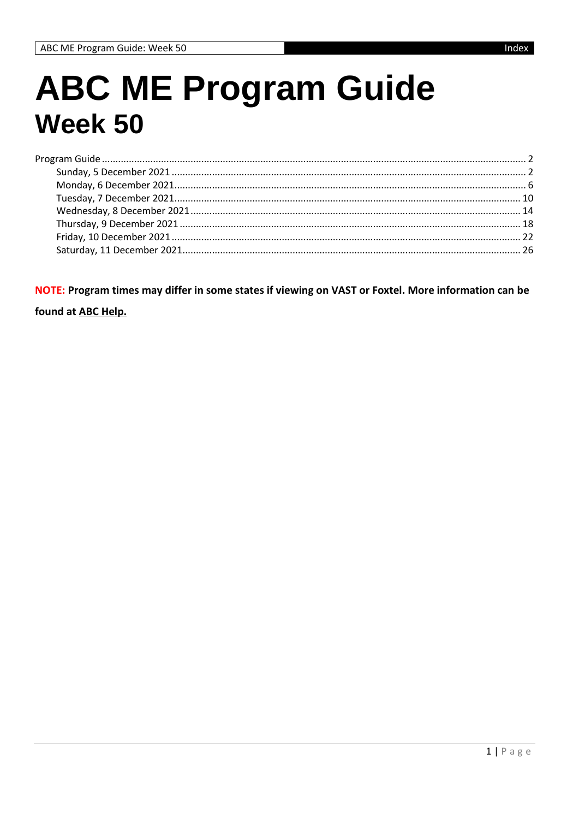## **ABC ME Program Guide Week 50**

NOTE: Program times may differ in some states if viewing on VAST or Foxtel. More information can be

found at ABC Help.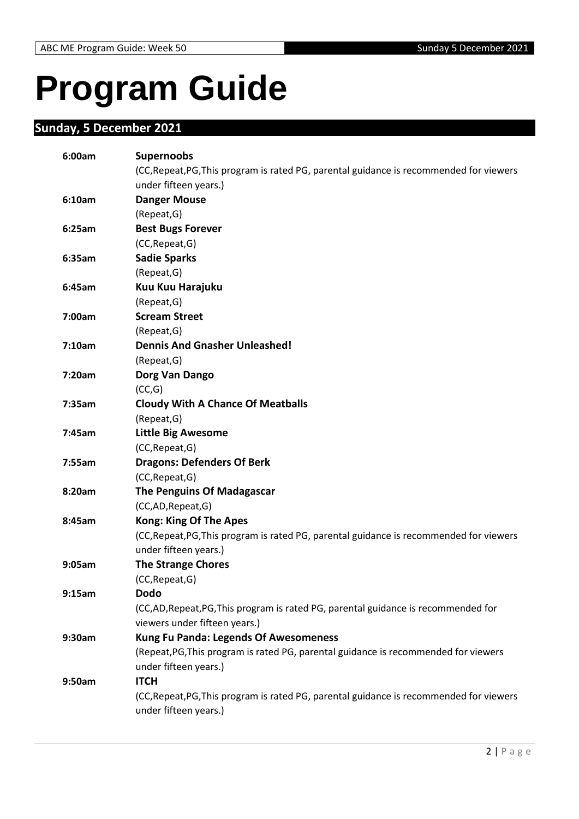# <span id="page-1-0"></span>**Program Guide**

## <span id="page-1-1"></span>**Sunday, 5 December 2021**

| 6:00am | <b>Supernoobs</b>                                                                       |
|--------|-----------------------------------------------------------------------------------------|
|        | (CC, Repeat, PG, This program is rated PG, parental guidance is recommended for viewers |
|        | under fifteen years.)                                                                   |
| 6:10am | <b>Danger Mouse</b>                                                                     |
|        | (Repeat, G)                                                                             |
| 6:25am | <b>Best Bugs Forever</b>                                                                |
|        | (CC, Repeat, G)                                                                         |
| 6:35am | <b>Sadie Sparks</b>                                                                     |
|        | (Repeat, G)                                                                             |
| 6:45am | Kuu Kuu Harajuku                                                                        |
|        | (Repeat, G)                                                                             |
| 7:00am | <b>Scream Street</b>                                                                    |
|        | (Repeat, G)                                                                             |
| 7:10am | <b>Dennis And Gnasher Unleashed!</b>                                                    |
|        | (Repeat, G)                                                                             |
| 7:20am | Dorg Van Dango                                                                          |
|        | (CC,G)                                                                                  |
| 7:35am | <b>Cloudy With A Chance Of Meatballs</b>                                                |
|        | (Repeat, G)                                                                             |
| 7:45am | <b>Little Big Awesome</b>                                                               |
|        | (CC, Repeat, G)                                                                         |
| 7:55am | <b>Dragons: Defenders Of Berk</b>                                                       |
|        | (CC, Repeat, G)                                                                         |
| 8:20am | <b>The Penguins Of Madagascar</b>                                                       |
|        | (CC,AD,Repeat,G)                                                                        |
| 8:45am | <b>Kong: King Of The Apes</b>                                                           |
|        | (CC, Repeat, PG, This program is rated PG, parental guidance is recommended for viewers |
|        | under fifteen years.)                                                                   |
| 9:05am | <b>The Strange Chores</b>                                                               |
|        | (CC, Repeat, G)                                                                         |
| 9:15am | <b>Dodo</b>                                                                             |
|        | (CC,AD,Repeat,PG,This program is rated PG, parental guidance is recommended for         |
|        | viewers under fifteen years.)                                                           |
| 9:30am | <b>Kung Fu Panda: Legends Of Awesomeness</b>                                            |
|        | (Repeat, PG, This program is rated PG, parental guidance is recommended for viewers     |
|        | under fifteen years.)                                                                   |
| 9:50am | <b>ITCH</b>                                                                             |
|        | (CC, Repeat, PG, This program is rated PG, parental guidance is recommended for viewers |
|        | under fifteen years.)                                                                   |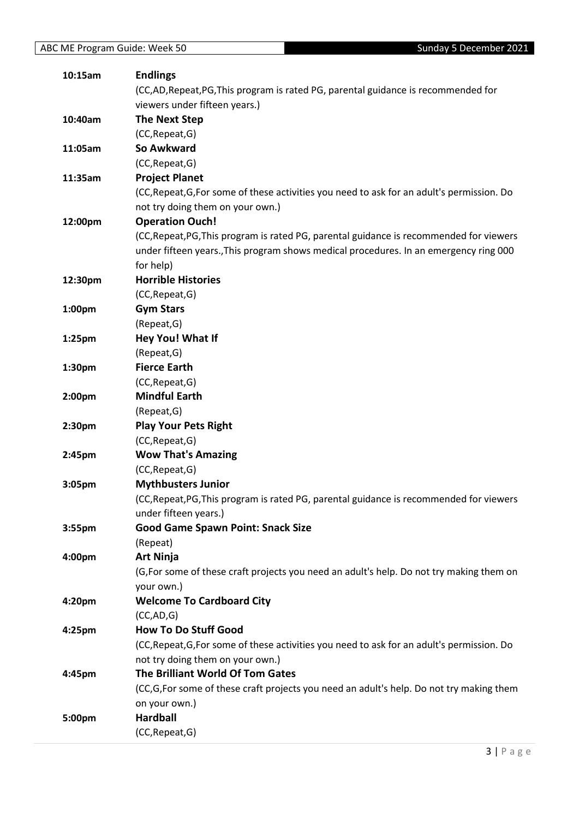| 10:15am            | <b>Endlings</b>                                                                            |
|--------------------|--------------------------------------------------------------------------------------------|
|                    | (CC,AD,Repeat,PG,This program is rated PG, parental guidance is recommended for            |
|                    | viewers under fifteen years.)                                                              |
| 10:40am            | <b>The Next Step</b>                                                                       |
|                    | (CC, Repeat, G)                                                                            |
| 11:05am            | So Awkward                                                                                 |
|                    | (CC, Repeat, G)                                                                            |
| 11:35am            | <b>Project Planet</b>                                                                      |
|                    | (CC, Repeat, G, For some of these activities you need to ask for an adult's permission. Do |
|                    | not try doing them on your own.)                                                           |
| 12:00pm            | <b>Operation Ouch!</b>                                                                     |
|                    | (CC, Repeat, PG, This program is rated PG, parental guidance is recommended for viewers    |
|                    | under fifteen years., This program shows medical procedures. In an emergency ring 000      |
|                    | for help)                                                                                  |
| 12:30pm            | <b>Horrible Histories</b>                                                                  |
|                    | (CC, Repeat, G)                                                                            |
| 1:00 <sub>pm</sub> | <b>Gym Stars</b>                                                                           |
|                    | (Repeat, G)                                                                                |
| 1:25pm             | Hey You! What If                                                                           |
|                    | (Repeat, G)                                                                                |
| 1:30pm             | <b>Fierce Earth</b>                                                                        |
|                    | (CC, Repeat, G)                                                                            |
| 2:00pm             | <b>Mindful Earth</b>                                                                       |
|                    | (Repeat, G)                                                                                |
| 2:30pm             | <b>Play Your Pets Right</b>                                                                |
|                    | (CC, Repeat, G)                                                                            |
| 2:45pm             | <b>Wow That's Amazing</b>                                                                  |
|                    | (CC, Repeat, G)                                                                            |
| 3:05pm             | <b>Mythbusters Junior</b>                                                                  |
|                    | (CC, Repeat, PG, This program is rated PG, parental guidance is recommended for viewers    |
|                    | under fifteen years.)                                                                      |
| 3:55 <sub>pm</sub> | <b>Good Game Spawn Point: Snack Size</b>                                                   |
|                    | (Repeat)                                                                                   |
| 4:00pm             | <b>Art Ninja</b>                                                                           |
|                    | (G, For some of these craft projects you need an adult's help. Do not try making them on   |
|                    | your own.)                                                                                 |
| 4:20pm             | <b>Welcome To Cardboard City</b>                                                           |
|                    | (CC, AD, G)                                                                                |
| 4:25pm             | <b>How To Do Stuff Good</b>                                                                |
|                    | (CC, Repeat, G, For some of these activities you need to ask for an adult's permission. Do |
|                    | not try doing them on your own.)                                                           |
| 4:45pm             | The Brilliant World Of Tom Gates                                                           |
|                    | (CC,G,For some of these craft projects you need an adult's help. Do not try making them    |
|                    | on your own.)                                                                              |
| 5:00pm             | <b>Hardball</b>                                                                            |
|                    | (CC, Repeat, G)                                                                            |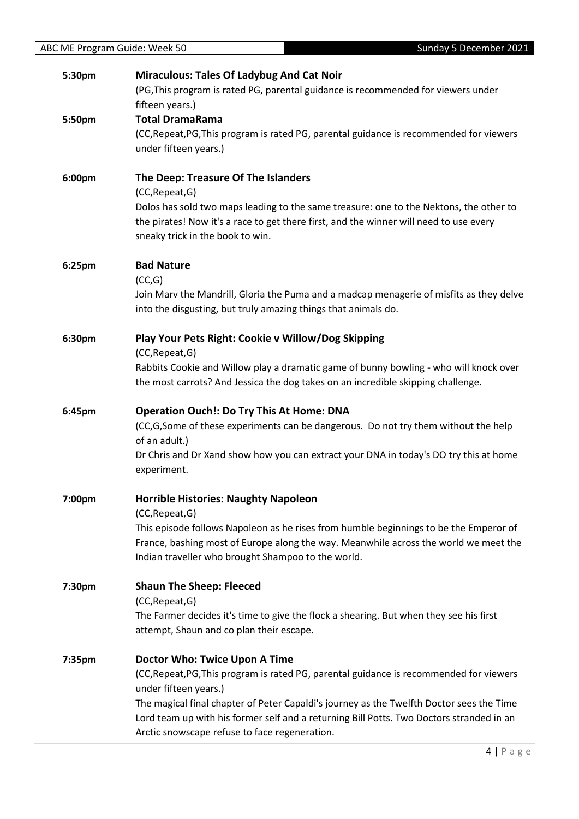| 5:30pm | <b>Miraculous: Tales Of Ladybug And Cat Noir</b>                                                    |
|--------|-----------------------------------------------------------------------------------------------------|
|        | (PG, This program is rated PG, parental guidance is recommended for viewers under                   |
|        | fifteen years.)                                                                                     |
| 5:50pm | <b>Total DramaRama</b>                                                                              |
|        | (CC, Repeat, PG, This program is rated PG, parental guidance is recommended for viewers             |
|        | under fifteen years.)                                                                               |
| 6:00pm | The Deep: Treasure Of The Islanders                                                                 |
|        | (CC, Repeat, G)                                                                                     |
|        | Dolos has sold two maps leading to the same treasure: one to the Nektons, the other to              |
|        | the pirates! Now it's a race to get there first, and the winner will need to use every              |
|        | sneaky trick in the book to win.                                                                    |
| 6:25pm | <b>Bad Nature</b>                                                                                   |
|        | (CC,G)                                                                                              |
|        | Join Marv the Mandrill, Gloria the Puma and a madcap menagerie of misfits as they delve             |
|        | into the disgusting, but truly amazing things that animals do.                                      |
| 6:30pm | Play Your Pets Right: Cookie v Willow/Dog Skipping                                                  |
|        | (CC, Repeat, G)                                                                                     |
|        | Rabbits Cookie and Willow play a dramatic game of bunny bowling - who will knock over               |
|        | the most carrots? And Jessica the dog takes on an incredible skipping challenge.                    |
| 6:45pm | <b>Operation Ouch!: Do Try This At Home: DNA</b>                                                    |
|        | (CC,G,Some of these experiments can be dangerous. Do not try them without the help<br>of an adult.) |
|        | Dr Chris and Dr Xand show how you can extract your DNA in today's DO try this at home               |
|        | experiment.                                                                                         |
| 7:00pm | <b>Horrible Histories: Naughty Napoleon</b>                                                         |
|        | (CC, Repeat, G)                                                                                     |
|        | This episode follows Napoleon as he rises from humble beginnings to be the Emperor of               |
|        | France, bashing most of Europe along the way. Meanwhile across the world we meet the                |
|        | Indian traveller who brought Shampoo to the world.                                                  |
| 7:30pm | <b>Shaun The Sheep: Fleeced</b>                                                                     |
|        | (CC, Repeat, G)                                                                                     |
|        | The Farmer decides it's time to give the flock a shearing. But when they see his first              |
|        | attempt, Shaun and co plan their escape.                                                            |
| 7:35pm | Doctor Who: Twice Upon A Time                                                                       |
|        | (CC, Repeat, PG, This program is rated PG, parental guidance is recommended for viewers             |
|        | under fifteen years.)                                                                               |
|        | The magical final chapter of Peter Capaldi's journey as the Twelfth Doctor sees the Time            |
|        | Lord team up with his former self and a returning Bill Potts. Two Doctors stranded in an            |
|        | Arctic snowscape refuse to face regeneration.                                                       |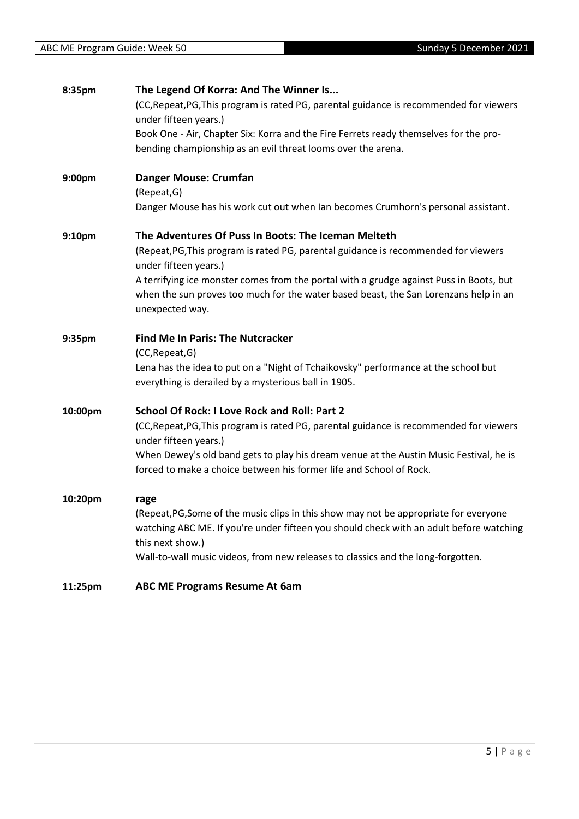| 8:35pm  | The Legend Of Korra: And The Winner Is                                                                                                     |
|---------|--------------------------------------------------------------------------------------------------------------------------------------------|
|         | (CC, Repeat, PG, This program is rated PG, parental guidance is recommended for viewers<br>under fifteen years.)                           |
|         | Book One - Air, Chapter Six: Korra and the Fire Ferrets ready themselves for the pro-                                                      |
|         | bending championship as an evil threat looms over the arena.                                                                               |
| 9:00pm  | <b>Danger Mouse: Crumfan</b>                                                                                                               |
|         | (Repeat, G)                                                                                                                                |
|         | Danger Mouse has his work cut out when Ian becomes Crumhorn's personal assistant.                                                          |
| 9:10pm  | The Adventures Of Puss In Boots: The Iceman Melteth                                                                                        |
|         | (Repeat, PG, This program is rated PG, parental guidance is recommended for viewers<br>under fifteen years.)                               |
|         | A terrifying ice monster comes from the portal with a grudge against Puss in Boots, but                                                    |
|         | when the sun proves too much for the water based beast, the San Lorenzans help in an<br>unexpected way.                                    |
| 9:35pm  | <b>Find Me In Paris: The Nutcracker</b>                                                                                                    |
|         | (CC, Repeat, G)                                                                                                                            |
|         | Lena has the idea to put on a "Night of Tchaikovsky" performance at the school but<br>everything is derailed by a mysterious ball in 1905. |
| 10:00pm | School Of Rock: I Love Rock and Roll: Part 2                                                                                               |
|         | (CC, Repeat, PG, This program is rated PG, parental guidance is recommended for viewers<br>under fifteen years.)                           |
|         | When Dewey's old band gets to play his dream venue at the Austin Music Festival, he is                                                     |
|         | forced to make a choice between his former life and School of Rock.                                                                        |
| 10:20pm | rage                                                                                                                                       |
|         | (Repeat, PG, Some of the music clips in this show may not be appropriate for everyone                                                      |
|         | watching ABC ME. If you're under fifteen you should check with an adult before watching<br>this next show.)                                |
|         | Wall-to-wall music videos, from new releases to classics and the long-forgotten.                                                           |
| 11:25pm | <b>ABC ME Programs Resume At 6am</b>                                                                                                       |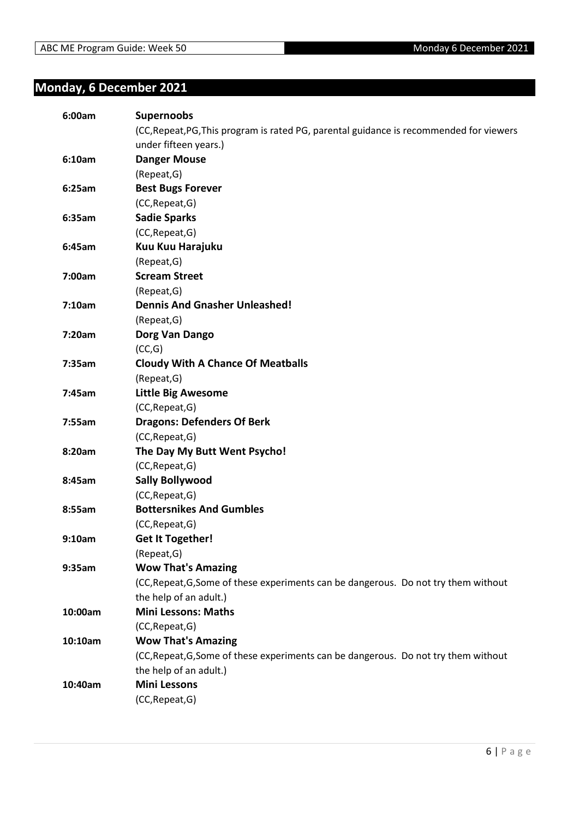### <span id="page-5-0"></span>**Monday, 6 December 2021**

| 6:00am  | <b>Supernoobs</b>                                                                       |
|---------|-----------------------------------------------------------------------------------------|
|         | (CC, Repeat, PG, This program is rated PG, parental guidance is recommended for viewers |
|         | under fifteen years.)                                                                   |
| 6:10am  | <b>Danger Mouse</b>                                                                     |
|         | (Repeat, G)                                                                             |
| 6:25am  | <b>Best Bugs Forever</b>                                                                |
|         | (CC, Repeat, G)                                                                         |
| 6:35am  | <b>Sadie Sparks</b>                                                                     |
|         | (CC, Repeat, G)                                                                         |
| 6:45am  | Kuu Kuu Harajuku                                                                        |
|         | (Repeat, G)                                                                             |
| 7:00am  | <b>Scream Street</b>                                                                    |
|         | (Repeat, G)                                                                             |
| 7:10am  | <b>Dennis And Gnasher Unleashed!</b>                                                    |
|         | (Repeat, G)                                                                             |
| 7:20am  | Dorg Van Dango                                                                          |
|         | (CC,G)                                                                                  |
| 7:35am  | <b>Cloudy With A Chance Of Meatballs</b>                                                |
|         | (Repeat, G)                                                                             |
| 7:45am  | <b>Little Big Awesome</b>                                                               |
|         | (CC, Repeat, G)                                                                         |
| 7:55am  | <b>Dragons: Defenders Of Berk</b>                                                       |
|         | (CC, Repeat, G)                                                                         |
| 8:20am  | The Day My Butt Went Psycho!                                                            |
|         | (CC, Repeat, G)                                                                         |
| 8:45am  | <b>Sally Bollywood</b>                                                                  |
|         | (CC, Repeat, G)                                                                         |
| 8:55am  | <b>Bottersnikes And Gumbles</b>                                                         |
|         | (CC, Repeat, G)                                                                         |
| 9:10am  | <b>Get It Together!</b>                                                                 |
|         | (Repeat, G)                                                                             |
| 9:35am  | <b>Wow That's Amazing</b>                                                               |
|         | (CC, Repeat, G, Some of these experiments can be dangerous. Do not try them without     |
|         | the help of an adult.)                                                                  |
| 10:00am | <b>Mini Lessons: Maths</b>                                                              |
|         | (CC, Repeat, G)                                                                         |
| 10:10am | <b>Wow That's Amazing</b>                                                               |
|         | (CC, Repeat, G, Some of these experiments can be dangerous. Do not try them without     |
|         | the help of an adult.)                                                                  |
| 10:40am | <b>Mini Lessons</b>                                                                     |
|         | (CC, Repeat, G)                                                                         |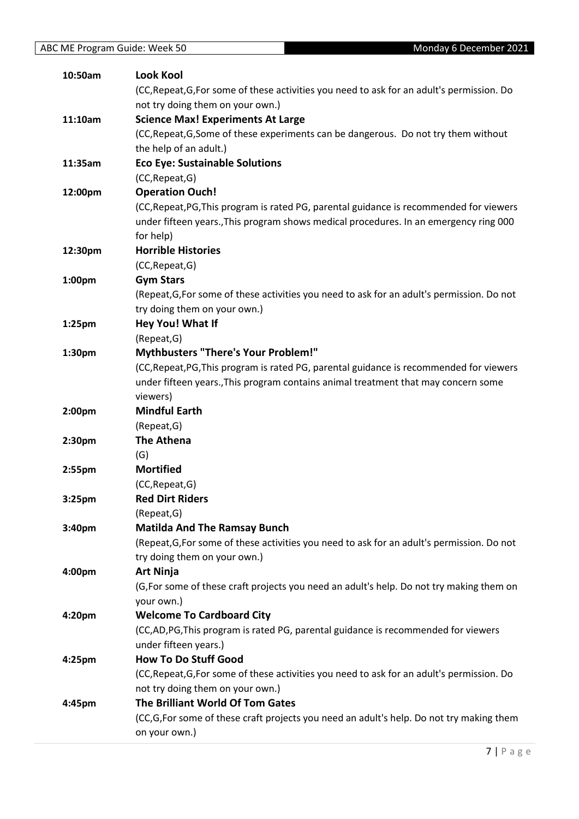| 10:50am            | <b>Look Kool</b>                                                                           |
|--------------------|--------------------------------------------------------------------------------------------|
|                    | (CC, Repeat, G, For some of these activities you need to ask for an adult's permission. Do |
|                    | not try doing them on your own.)                                                           |
| 11:10am            | <b>Science Max! Experiments At Large</b>                                                   |
|                    | (CC, Repeat, G, Some of these experiments can be dangerous. Do not try them without        |
|                    | the help of an adult.)                                                                     |
| 11:35am            | <b>Eco Eye: Sustainable Solutions</b>                                                      |
|                    | (CC, Repeat, G)                                                                            |
| 12:00pm            | <b>Operation Ouch!</b>                                                                     |
|                    | (CC, Repeat, PG, This program is rated PG, parental guidance is recommended for viewers    |
|                    | under fifteen years., This program shows medical procedures. In an emergency ring 000      |
|                    | for help)                                                                                  |
| 12:30pm            | <b>Horrible Histories</b>                                                                  |
|                    | (CC, Repeat, G)                                                                            |
| 1:00pm             | <b>Gym Stars</b>                                                                           |
|                    | (Repeat, G, For some of these activities you need to ask for an adult's permission. Do not |
|                    | try doing them on your own.)                                                               |
| 1:25 <sub>pm</sub> | Hey You! What If                                                                           |
|                    | (Repeat, G)                                                                                |
| 1:30pm             | Mythbusters "There's Your Problem!"                                                        |
|                    | (CC, Repeat, PG, This program is rated PG, parental guidance is recommended for viewers    |
|                    | under fifteen years., This program contains animal treatment that may concern some         |
|                    | viewers)                                                                                   |
| 2:00pm             | <b>Mindful Earth</b>                                                                       |
|                    | (Repeat, G)                                                                                |
| 2:30pm             | <b>The Athena</b>                                                                          |
|                    | (G)                                                                                        |
| 2:55 <sub>pm</sub> | <b>Mortified</b>                                                                           |
|                    | (CC, Repeat, G)                                                                            |
| 3:25 <sub>pm</sub> | <b>Red Dirt Riders</b>                                                                     |
|                    | (Repeat, G)                                                                                |
| 3:40 <sub>pm</sub> | <b>Matilda And The Ramsay Bunch</b>                                                        |
|                    | (Repeat, G, For some of these activities you need to ask for an adult's permission. Do not |
|                    | try doing them on your own.)                                                               |
| 4:00pm             | <b>Art Ninja</b>                                                                           |
|                    | (G, For some of these craft projects you need an adult's help. Do not try making them on   |
|                    | your own.)                                                                                 |
| 4:20pm             | <b>Welcome To Cardboard City</b>                                                           |
|                    | (CC,AD,PG,This program is rated PG, parental guidance is recommended for viewers           |
|                    | under fifteen years.)                                                                      |
| 4:25pm             | <b>How To Do Stuff Good</b>                                                                |
|                    | (CC, Repeat, G, For some of these activities you need to ask for an adult's permission. Do |
|                    | not try doing them on your own.)                                                           |
| 4:45pm             | The Brilliant World Of Tom Gates                                                           |
|                    | (CC,G,For some of these craft projects you need an adult's help. Do not try making them    |
|                    | on your own.)                                                                              |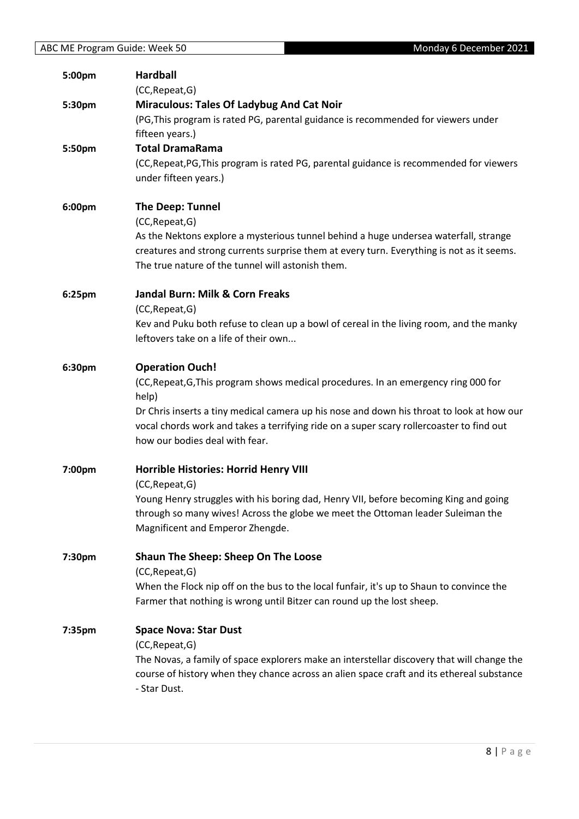| 5:00pm | <b>Hardball</b><br>(CC, Repeat, G)                                                                                                                                                                                                                                                                                                                |
|--------|---------------------------------------------------------------------------------------------------------------------------------------------------------------------------------------------------------------------------------------------------------------------------------------------------------------------------------------------------|
| 5:30pm | <b>Miraculous: Tales Of Ladybug And Cat Noir</b>                                                                                                                                                                                                                                                                                                  |
|        | (PG, This program is rated PG, parental guidance is recommended for viewers under<br>fifteen years.)                                                                                                                                                                                                                                              |
| 5:50pm | <b>Total DramaRama</b><br>(CC, Repeat, PG, This program is rated PG, parental guidance is recommended for viewers<br>under fifteen years.)                                                                                                                                                                                                        |
| 6:00pm | <b>The Deep: Tunnel</b><br>(CC, Repeat, G)<br>As the Nektons explore a mysterious tunnel behind a huge undersea waterfall, strange<br>creatures and strong currents surprise them at every turn. Everything is not as it seems.<br>The true nature of the tunnel will astonish them.                                                              |
| 6:25pm | Jandal Burn: Milk & Corn Freaks<br>(CC, Repeat, G)<br>Kev and Puku both refuse to clean up a bowl of cereal in the living room, and the manky<br>leftovers take on a life of their own                                                                                                                                                            |
| 6:30pm | <b>Operation Ouch!</b><br>(CC, Repeat, G, This program shows medical procedures. In an emergency ring 000 for<br>help)<br>Dr Chris inserts a tiny medical camera up his nose and down his throat to look at how our<br>vocal chords work and takes a terrifying ride on a super scary rollercoaster to find out<br>how our bodies deal with fear. |
| 7:00pm | Horrible Histories: Horrid Henry VIII<br>(CC, Repeat, G)<br>Young Henry struggles with his boring dad, Henry VII, before becoming King and going<br>through so many wives! Across the globe we meet the Ottoman leader Suleiman the<br>Magnificent and Emperor Zhengde.                                                                           |
| 7:30pm | Shaun The Sheep: Sheep On The Loose<br>(CC, Repeat, G)<br>When the Flock nip off on the bus to the local funfair, it's up to Shaun to convince the<br>Farmer that nothing is wrong until Bitzer can round up the lost sheep.                                                                                                                      |
| 7:35pm | <b>Space Nova: Star Dust</b><br>(CC, Repeat, G)<br>The Novas, a family of space explorers make an interstellar discovery that will change the<br>course of history when they chance across an alien space craft and its ethereal substance<br>- Star Dust.                                                                                        |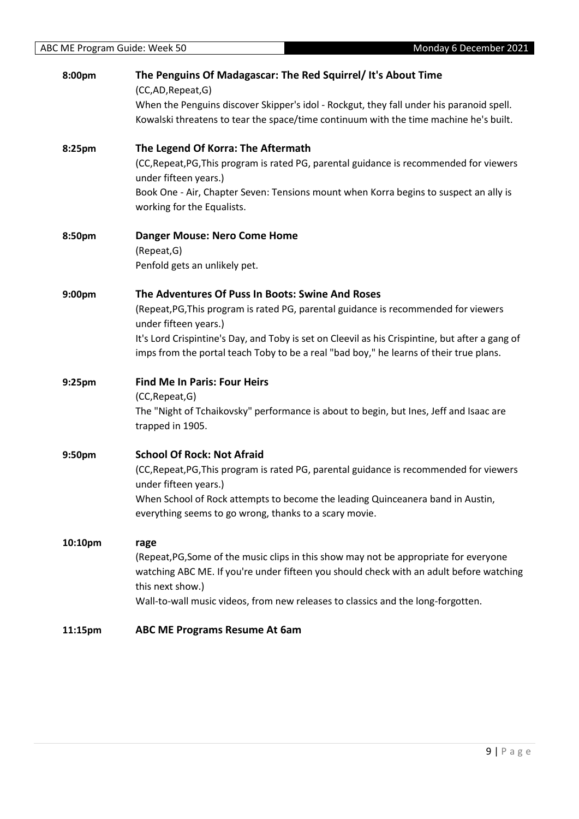| 8:00pm  | The Penguins Of Madagascar: The Red Squirrel/ It's About Time<br>(CC,AD,Repeat,G)                                                                                                                    |
|---------|------------------------------------------------------------------------------------------------------------------------------------------------------------------------------------------------------|
|         | When the Penguins discover Skipper's idol - Rockgut, they fall under his paranoid spell.<br>Kowalski threatens to tear the space/time continuum with the time machine he's built.                    |
| 8:25pm  | The Legend Of Korra: The Aftermath                                                                                                                                                                   |
|         | (CC, Repeat, PG, This program is rated PG, parental guidance is recommended for viewers<br>under fifteen years.)                                                                                     |
|         | Book One - Air, Chapter Seven: Tensions mount when Korra begins to suspect an ally is<br>working for the Equalists.                                                                                  |
| 8:50pm  | <b>Danger Mouse: Nero Come Home</b><br>(Repeat, G)                                                                                                                                                   |
|         | Penfold gets an unlikely pet.                                                                                                                                                                        |
| 9:00pm  | The Adventures Of Puss In Boots: Swine And Roses                                                                                                                                                     |
|         | (Repeat, PG, This program is rated PG, parental guidance is recommended for viewers<br>under fifteen years.)                                                                                         |
|         | It's Lord Crispintine's Day, and Toby is set on Cleevil as his Crispintine, but after a gang of                                                                                                      |
|         | imps from the portal teach Toby to be a real "bad boy," he learns of their true plans.                                                                                                               |
| 9:25pm  | <b>Find Me In Paris: Four Heirs</b>                                                                                                                                                                  |
|         | (CC, Repeat, G)                                                                                                                                                                                      |
|         | The "Night of Tchaikovsky" performance is about to begin, but Ines, Jeff and Isaac are<br>trapped in 1905.                                                                                           |
| 9:50pm  | <b>School Of Rock: Not Afraid</b>                                                                                                                                                                    |
|         | (CC, Repeat, PG, This program is rated PG, parental guidance is recommended for viewers                                                                                                              |
|         | under fifteen years.)<br>When School of Rock attempts to become the leading Quinceanera band in Austin,                                                                                              |
|         | everything seems to go wrong, thanks to a scary movie.                                                                                                                                               |
| 10:10pm | rage                                                                                                                                                                                                 |
|         | (Repeat, PG, Some of the music clips in this show may not be appropriate for everyone<br>watching ABC ME. If you're under fifteen you should check with an adult before watching<br>this next show.) |
|         | Wall-to-wall music videos, from new releases to classics and the long-forgotten.                                                                                                                     |
| 11:15pm | <b>ABC ME Programs Resume At 6am</b>                                                                                                                                                                 |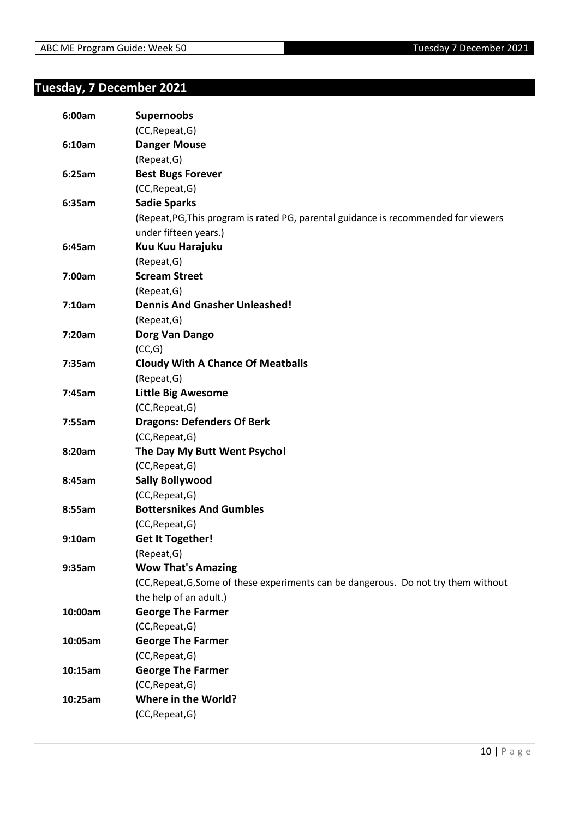### <span id="page-9-0"></span>**Tuesday, 7 December 2021**

| 6:00am  | <b>Supernoobs</b>                                                                   |
|---------|-------------------------------------------------------------------------------------|
|         | (CC, Repeat, G)                                                                     |
| 6:10am  | <b>Danger Mouse</b>                                                                 |
|         | (Repeat, G)                                                                         |
| 6:25am  | <b>Best Bugs Forever</b>                                                            |
|         | (CC, Repeat, G)                                                                     |
| 6:35am  | <b>Sadie Sparks</b>                                                                 |
|         | (Repeat, PG, This program is rated PG, parental guidance is recommended for viewers |
|         | under fifteen years.)                                                               |
| 6:45am  | Kuu Kuu Harajuku                                                                    |
|         | (Repeat, G)                                                                         |
| 7:00am  | <b>Scream Street</b>                                                                |
|         | (Repeat, G)                                                                         |
| 7:10am  | <b>Dennis And Gnasher Unleashed!</b>                                                |
|         | (Repeat, G)                                                                         |
| 7:20am  | Dorg Van Dango                                                                      |
|         | (CC,G)                                                                              |
| 7:35am  | <b>Cloudy With A Chance Of Meatballs</b>                                            |
|         | (Repeat, G)                                                                         |
| 7:45am  | <b>Little Big Awesome</b>                                                           |
|         | (CC, Repeat, G)                                                                     |
| 7:55am  | <b>Dragons: Defenders Of Berk</b>                                                   |
|         | (CC, Repeat, G)                                                                     |
| 8:20am  | The Day My Butt Went Psycho!                                                        |
|         | (CC, Repeat, G)                                                                     |
| 8:45am  | <b>Sally Bollywood</b>                                                              |
|         | (CC, Repeat, G)                                                                     |
| 8:55am  | <b>Bottersnikes And Gumbles</b>                                                     |
|         | (CC, Repeat, G)                                                                     |
| 9:10am  | <b>Get It Together!</b>                                                             |
|         | (Repeat, G)                                                                         |
| 9:35am  | <b>Wow That's Amazing</b>                                                           |
|         | (CC, Repeat, G, Some of these experiments can be dangerous. Do not try them without |
|         | the help of an adult.)                                                              |
| 10:00am | <b>George The Farmer</b>                                                            |
|         | (CC, Repeat, G)                                                                     |
| 10:05am | <b>George The Farmer</b>                                                            |
|         | (CC, Repeat, G)                                                                     |
| 10:15am | <b>George The Farmer</b>                                                            |
|         | (CC, Repeat, G)                                                                     |
| 10:25am | Where in the World?                                                                 |
|         | (CC, Repeat, G)                                                                     |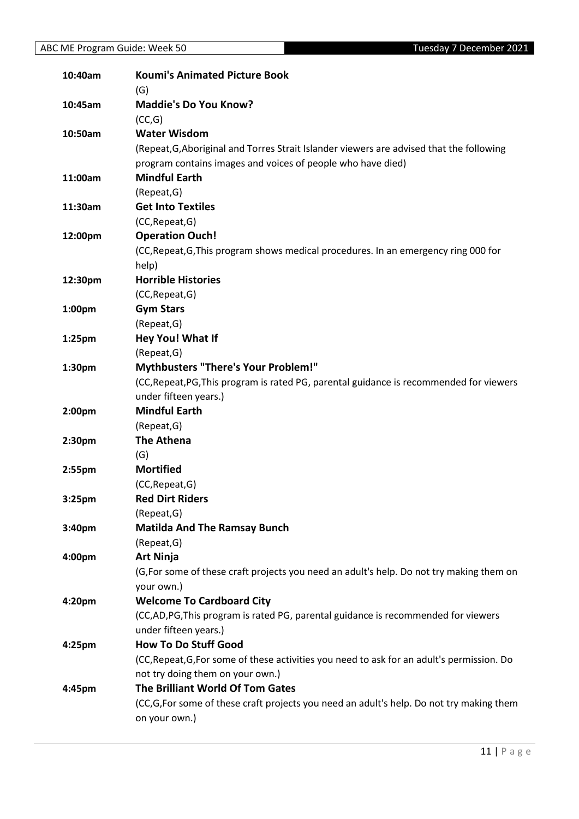| 10:40am            | <b>Koumi's Animated Picture Book</b><br>(G)                                                               |
|--------------------|-----------------------------------------------------------------------------------------------------------|
| 10:45am            | <b>Maddie's Do You Know?</b>                                                                              |
|                    | (CC,G)                                                                                                    |
| 10:50am            | <b>Water Wisdom</b>                                                                                       |
|                    | (Repeat, G, Aboriginal and Torres Strait Islander viewers are advised that the following                  |
|                    | program contains images and voices of people who have died)                                               |
| 11:00am            | <b>Mindful Earth</b>                                                                                      |
|                    | (Repeat, G)                                                                                               |
| 11:30am            | <b>Get Into Textiles</b>                                                                                  |
|                    | (CC, Repeat, G)                                                                                           |
| 12:00pm            | <b>Operation Ouch!</b>                                                                                    |
|                    | (CC, Repeat, G, This program shows medical procedures. In an emergency ring 000 for                       |
|                    | help)                                                                                                     |
| 12:30pm            | <b>Horrible Histories</b>                                                                                 |
|                    | (CC, Repeat, G)                                                                                           |
| 1:00pm             | <b>Gym Stars</b>                                                                                          |
|                    | (Repeat, G)                                                                                               |
| 1:25pm             | Hey You! What If                                                                                          |
|                    | (Repeat, G)                                                                                               |
| 1:30pm             | <b>Mythbusters "There's Your Problem!"</b>                                                                |
|                    | (CC, Repeat, PG, This program is rated PG, parental guidance is recommended for viewers                   |
|                    | under fifteen years.)                                                                                     |
| 2:00pm             | <b>Mindful Earth</b>                                                                                      |
|                    | (Repeat, G)                                                                                               |
| 2:30pm             | <b>The Athena</b>                                                                                         |
|                    | (G)                                                                                                       |
| 2:55pm             | <b>Mortified</b>                                                                                          |
|                    | (CC, Repeat, G)                                                                                           |
| 3:25pm             | <b>Red Dirt Riders</b>                                                                                    |
|                    | (Repeat, G)                                                                                               |
| 3:40 <sub>pm</sub> | <b>Matilda And The Ramsay Bunch</b>                                                                       |
|                    | (Repeat, G)                                                                                               |
| 4:00pm             | <b>Art Ninja</b>                                                                                          |
|                    | (G, For some of these craft projects you need an adult's help. Do not try making them on                  |
|                    | your own.)<br><b>Welcome To Cardboard City</b>                                                            |
| 4:20pm             |                                                                                                           |
|                    | (CC,AD,PG,This program is rated PG, parental guidance is recommended for viewers<br>under fifteen years.) |
| 4:25pm             | <b>How To Do Stuff Good</b>                                                                               |
|                    | (CC, Repeat, G, For some of these activities you need to ask for an adult's permission. Do                |
|                    | not try doing them on your own.)                                                                          |
| 4:45pm             | The Brilliant World Of Tom Gates                                                                          |
|                    | (CC,G,For some of these craft projects you need an adult's help. Do not try making them                   |
|                    | on your own.)                                                                                             |
|                    |                                                                                                           |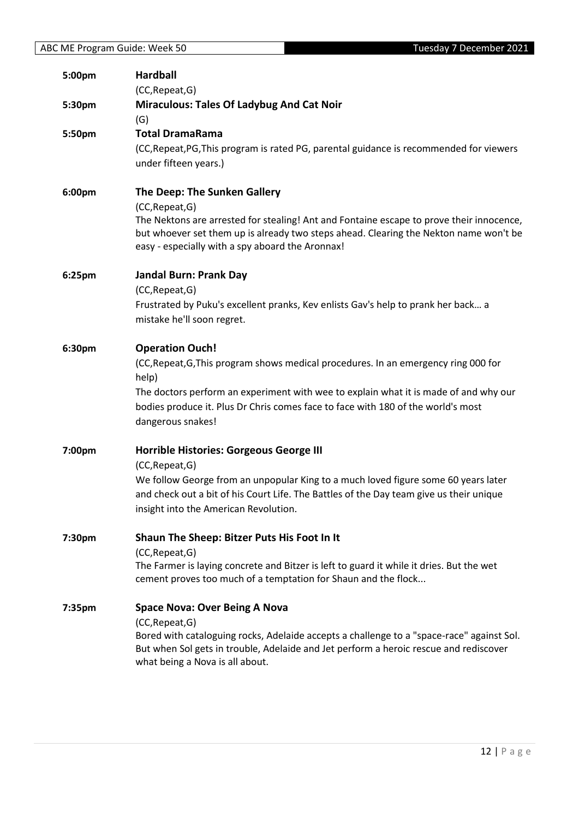| 5:00pm | <b>Hardball</b><br>(CC, Repeat, G)                                                                                                                                                                                                                                                                                      |
|--------|-------------------------------------------------------------------------------------------------------------------------------------------------------------------------------------------------------------------------------------------------------------------------------------------------------------------------|
| 5:30pm | <b>Miraculous: Tales Of Ladybug And Cat Noir</b><br>(G)                                                                                                                                                                                                                                                                 |
| 5:50pm | <b>Total DramaRama</b><br>(CC, Repeat, PG, This program is rated PG, parental guidance is recommended for viewers<br>under fifteen years.)                                                                                                                                                                              |
| 6:00pm | The Deep: The Sunken Gallery<br>(CC, Repeat, G)<br>The Nektons are arrested for stealing! Ant and Fontaine escape to prove their innocence,<br>but whoever set them up is already two steps ahead. Clearing the Nekton name won't be<br>easy - especially with a spy aboard the Aronnax!                                |
| 6:25pm | <b>Jandal Burn: Prank Day</b><br>(CC, Repeat, G)<br>Frustrated by Puku's excellent pranks, Kev enlists Gav's help to prank her back a<br>mistake he'll soon regret.                                                                                                                                                     |
| 6:30pm | <b>Operation Ouch!</b><br>(CC, Repeat, G, This program shows medical procedures. In an emergency ring 000 for<br>help)<br>The doctors perform an experiment with wee to explain what it is made of and why our<br>bodies produce it. Plus Dr Chris comes face to face with 180 of the world's most<br>dangerous snakes! |
| 7:00pm | Horrible Histories: Gorgeous George III<br>(CC, Repeat, G)<br>We follow George from an unpopular King to a much loved figure some 60 years later<br>and check out a bit of his Court Life. The Battles of the Day team give us their unique<br>insight into the American Revolution.                                    |
| 7:30pm | Shaun The Sheep: Bitzer Puts His Foot In It<br>(CC, Repeat, G)<br>The Farmer is laying concrete and Bitzer is left to guard it while it dries. But the wet<br>cement proves too much of a temptation for Shaun and the flock                                                                                            |
| 7:35pm | <b>Space Nova: Over Being A Nova</b><br>(CC, Repeat, G)<br>Bored with cataloguing rocks, Adelaide accepts a challenge to a "space-race" against Sol.<br>But when Sol gets in trouble, Adelaide and Jet perform a heroic rescue and rediscover<br>what being a Nova is all about.                                        |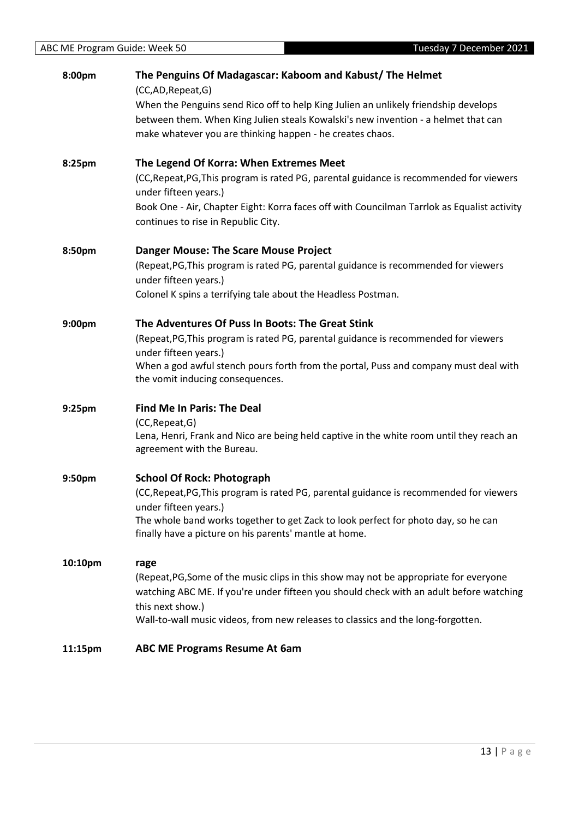| 8:00pm  | The Penguins Of Madagascar: Kaboom and Kabust/The Helmet<br>(CC,AD,Repeat,G)                                                                                                                                                           |
|---------|----------------------------------------------------------------------------------------------------------------------------------------------------------------------------------------------------------------------------------------|
|         | When the Penguins send Rico off to help King Julien an unlikely friendship develops<br>between them. When King Julien steals Kowalski's new invention - a helmet that can<br>make whatever you are thinking happen - he creates chaos. |
| 8:25pm  | The Legend Of Korra: When Extremes Meet<br>(CC, Repeat, PG, This program is rated PG, parental guidance is recommended for viewers                                                                                                     |
|         | under fifteen years.)<br>Book One - Air, Chapter Eight: Korra faces off with Councilman Tarrlok as Equalist activity<br>continues to rise in Republic City.                                                                            |
| 8:50pm  | <b>Danger Mouse: The Scare Mouse Project</b>                                                                                                                                                                                           |
|         | (Repeat, PG, This program is rated PG, parental guidance is recommended for viewers<br>under fifteen years.)                                                                                                                           |
|         | Colonel K spins a terrifying tale about the Headless Postman.                                                                                                                                                                          |
| 9:00pm  | The Adventures Of Puss In Boots: The Great Stink                                                                                                                                                                                       |
|         | (Repeat, PG, This program is rated PG, parental guidance is recommended for viewers<br>under fifteen years.)                                                                                                                           |
|         | When a god awful stench pours forth from the portal, Puss and company must deal with<br>the vomit inducing consequences.                                                                                                               |
| 9:25pm  | <b>Find Me In Paris: The Deal</b>                                                                                                                                                                                                      |
|         | (CC, Repeat, G)<br>Lena, Henri, Frank and Nico are being held captive in the white room until they reach an<br>agreement with the Bureau.                                                                                              |
| 9:50pm  | <b>School Of Rock: Photograph</b>                                                                                                                                                                                                      |
|         | (CC, Repeat, PG, This program is rated PG, parental guidance is recommended for viewers<br>under fifteen years.)                                                                                                                       |
|         | The whole band works together to get Zack to look perfect for photo day, so he can<br>finally have a picture on his parents' mantle at home.                                                                                           |
| 10:10pm | rage                                                                                                                                                                                                                                   |
|         | (Repeat, PG, Some of the music clips in this show may not be appropriate for everyone<br>watching ABC ME. If you're under fifteen you should check with an adult before watching                                                       |
|         | this next show.)<br>Wall-to-wall music videos, from new releases to classics and the long-forgotten.                                                                                                                                   |
| 11:15pm | ABC ME Programs Resume At 6am                                                                                                                                                                                                          |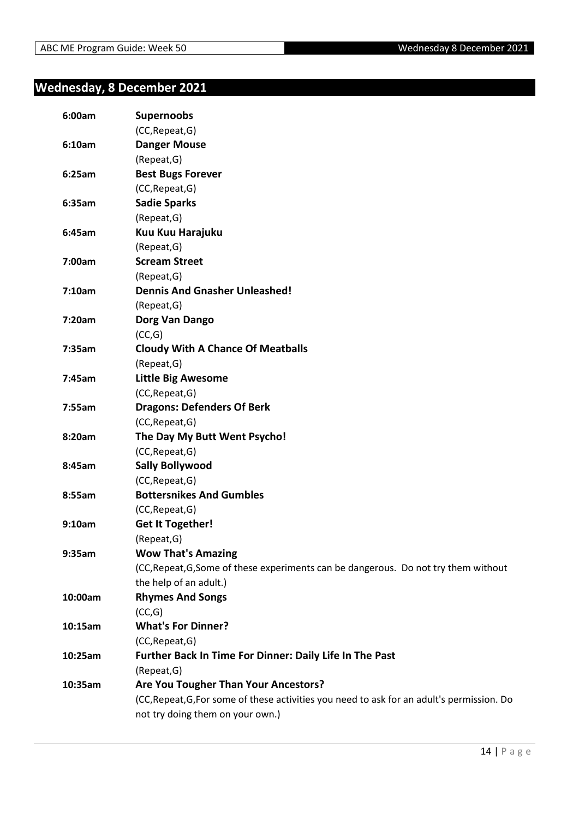### <span id="page-13-0"></span>**Wednesday, 8 December 2021**

| 6:00am  | <b>Supernoobs</b>                                                                          |
|---------|--------------------------------------------------------------------------------------------|
|         | (CC, Repeat, G)                                                                            |
| 6:10am  | <b>Danger Mouse</b>                                                                        |
|         | (Repeat, G)                                                                                |
| 6:25am  | <b>Best Bugs Forever</b>                                                                   |
|         | (CC, Repeat, G)                                                                            |
| 6:35am  | <b>Sadie Sparks</b>                                                                        |
|         | (Repeat, G)                                                                                |
| 6:45am  | Kuu Kuu Harajuku                                                                           |
|         | (Repeat, G)                                                                                |
| 7:00am  | <b>Scream Street</b>                                                                       |
|         | (Repeat, G)                                                                                |
| 7:10am  | <b>Dennis And Gnasher Unleashed!</b>                                                       |
|         | (Repeat, G)                                                                                |
| 7:20am  | Dorg Van Dango                                                                             |
|         | (CC,G)                                                                                     |
| 7:35am  | <b>Cloudy With A Chance Of Meatballs</b>                                                   |
|         | (Repeat, G)                                                                                |
| 7:45am  | <b>Little Big Awesome</b>                                                                  |
|         | (CC, Repeat, G)                                                                            |
| 7:55am  | <b>Dragons: Defenders Of Berk</b>                                                          |
|         | (CC, Repeat, G)                                                                            |
| 8:20am  | The Day My Butt Went Psycho!                                                               |
|         | (CC, Repeat, G)                                                                            |
| 8:45am  | <b>Sally Bollywood</b>                                                                     |
|         | (CC, Repeat, G)                                                                            |
| 8:55am  | <b>Bottersnikes And Gumbles</b>                                                            |
|         | (CC, Repeat, G)                                                                            |
| 9:10am  | <b>Get It Together!</b>                                                                    |
|         | (Repeat, G)                                                                                |
| 9:35am  | <b>Wow That's Amazing</b>                                                                  |
|         | (CC, Repeat, G, Some of these experiments can be dangerous. Do not try them without        |
|         | the help of an adult.)                                                                     |
| 10:00am | <b>Rhymes And Songs</b>                                                                    |
|         | (CC,G)                                                                                     |
| 10:15am | <b>What's For Dinner?</b>                                                                  |
|         | (CC, Repeat, G)                                                                            |
| 10:25am | Further Back In Time For Dinner: Daily Life In The Past                                    |
|         | (Repeat, G)                                                                                |
| 10:35am | Are You Tougher Than Your Ancestors?                                                       |
|         | (CC, Repeat, G, For some of these activities you need to ask for an adult's permission. Do |
|         | not try doing them on your own.)                                                           |
|         |                                                                                            |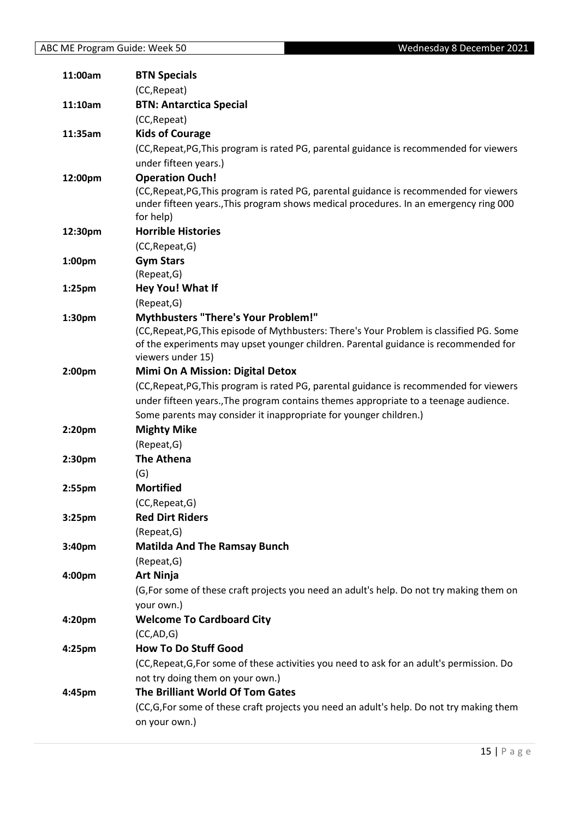| 11:00am            | <b>BTN Specials</b>                                                                                                                     |
|--------------------|-----------------------------------------------------------------------------------------------------------------------------------------|
|                    | (CC, Repeat)                                                                                                                            |
| 11:10am            | <b>BTN: Antarctica Special</b>                                                                                                          |
|                    | (CC, Repeat)                                                                                                                            |
| 11:35am            | <b>Kids of Courage</b>                                                                                                                  |
|                    | (CC, Repeat, PG, This program is rated PG, parental guidance is recommended for viewers                                                 |
|                    | under fifteen years.)                                                                                                                   |
| 12:00pm            | <b>Operation Ouch!</b>                                                                                                                  |
|                    | (CC, Repeat, PG, This program is rated PG, parental guidance is recommended for viewers                                                 |
|                    | under fifteen years., This program shows medical procedures. In an emergency ring 000                                                   |
|                    | for help)                                                                                                                               |
| 12:30pm            | <b>Horrible Histories</b>                                                                                                               |
|                    | (CC, Repeat, G)                                                                                                                         |
| 1:00 <sub>pm</sub> | <b>Gym Stars</b>                                                                                                                        |
|                    | (Repeat, G)                                                                                                                             |
| 1:25 <sub>pm</sub> | Hey You! What If                                                                                                                        |
|                    | (Repeat, G)                                                                                                                             |
| 1:30pm             | <b>Mythbusters "There's Your Problem!"</b><br>(CC, Repeat, PG, This episode of Mythbusters: There's Your Problem is classified PG. Some |
|                    | of the experiments may upset younger children. Parental guidance is recommended for                                                     |
|                    | viewers under 15)                                                                                                                       |
| 2:00 <sub>pm</sub> | <b>Mimi On A Mission: Digital Detox</b>                                                                                                 |
|                    | (CC, Repeat, PG, This program is rated PG, parental guidance is recommended for viewers                                                 |
|                    | under fifteen years., The program contains themes appropriate to a teenage audience.                                                    |
|                    | Some parents may consider it inappropriate for younger children.)                                                                       |
| 2:20 <sub>pm</sub> | <b>Mighty Mike</b>                                                                                                                      |
|                    | (Repeat, G)                                                                                                                             |
| 2:30 <sub>pm</sub> | <b>The Athena</b>                                                                                                                       |
|                    | (G)                                                                                                                                     |
| 2:55 <sub>pm</sub> | <b>Mortified</b>                                                                                                                        |
|                    | (CC, Repeat, G)                                                                                                                         |
| 3:25 <sub>pm</sub> | <b>Red Dirt Riders</b>                                                                                                                  |
|                    | (Repeat, G)                                                                                                                             |
| 3:40pm             | <b>Matilda And The Ramsay Bunch</b>                                                                                                     |
|                    | (Repeat, G)                                                                                                                             |
| 4:00pm             | <b>Art Ninja</b>                                                                                                                        |
|                    | (G, For some of these craft projects you need an adult's help. Do not try making them on                                                |
|                    | your own.)                                                                                                                              |
| 4:20pm             | <b>Welcome To Cardboard City</b>                                                                                                        |
|                    | (CC, AD, G)                                                                                                                             |
| 4:25pm             | <b>How To Do Stuff Good</b>                                                                                                             |
|                    | (CC, Repeat, G, For some of these activities you need to ask for an adult's permission. Do                                              |
|                    | not try doing them on your own.)                                                                                                        |
| 4:45pm             | The Brilliant World Of Tom Gates                                                                                                        |
|                    | (CC,G,For some of these craft projects you need an adult's help. Do not try making them                                                 |
|                    | on your own.)                                                                                                                           |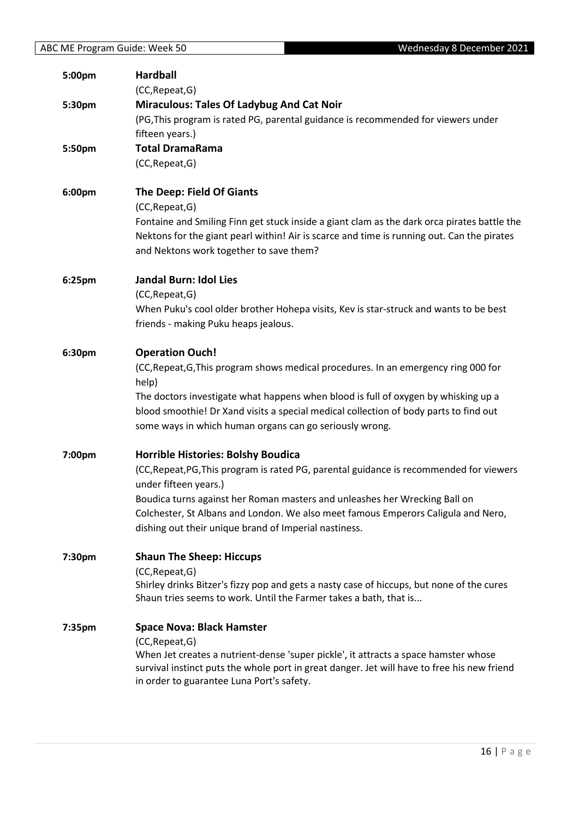| 5:00pm           | <b>Hardball</b><br>(CC, Repeat, G)                                                                                                                                                                                                                                                                                                                                                        |
|------------------|-------------------------------------------------------------------------------------------------------------------------------------------------------------------------------------------------------------------------------------------------------------------------------------------------------------------------------------------------------------------------------------------|
| 5:30pm<br>5:50pm | <b>Miraculous: Tales Of Ladybug And Cat Noir</b><br>(PG, This program is rated PG, parental guidance is recommended for viewers under<br>fifteen years.)<br><b>Total DramaRama</b>                                                                                                                                                                                                        |
|                  | (CC, Repeat, G)                                                                                                                                                                                                                                                                                                                                                                           |
| 6:00pm           | <b>The Deep: Field Of Giants</b><br>(CC, Repeat, G)<br>Fontaine and Smiling Finn get stuck inside a giant clam as the dark orca pirates battle the<br>Nektons for the giant pearl within! Air is scarce and time is running out. Can the pirates<br>and Nektons work together to save them?                                                                                               |
| 6:25pm           | <b>Jandal Burn: Idol Lies</b><br>(CC, Repeat, G)<br>When Puku's cool older brother Hohepa visits, Kev is star-struck and wants to be best<br>friends - making Puku heaps jealous.                                                                                                                                                                                                         |
| 6:30pm           | <b>Operation Ouch!</b><br>(CC, Repeat, G, This program shows medical procedures. In an emergency ring 000 for<br>help)<br>The doctors investigate what happens when blood is full of oxygen by whisking up a<br>blood smoothie! Dr Xand visits a special medical collection of body parts to find out<br>some ways in which human organs can go seriously wrong.                          |
| 7:00pm           | <b>Horrible Histories: Bolshy Boudica</b><br>(CC, Repeat, PG, This program is rated PG, parental guidance is recommended for viewers<br>under fifteen years.)<br>Boudica turns against her Roman masters and unleashes her Wrecking Ball on<br>Colchester, St Albans and London. We also meet famous Emperors Caligula and Nero,<br>dishing out their unique brand of Imperial nastiness. |
| 7:30pm           | <b>Shaun The Sheep: Hiccups</b><br>(CC, Repeat, G)<br>Shirley drinks Bitzer's fizzy pop and gets a nasty case of hiccups, but none of the cures<br>Shaun tries seems to work. Until the Farmer takes a bath, that is                                                                                                                                                                      |
| 7:35pm           | <b>Space Nova: Black Hamster</b><br>(CC, Repeat, G)<br>When Jet creates a nutrient-dense 'super pickle', it attracts a space hamster whose<br>survival instinct puts the whole port in great danger. Jet will have to free his new friend<br>in order to guarantee Luna Port's safety.                                                                                                    |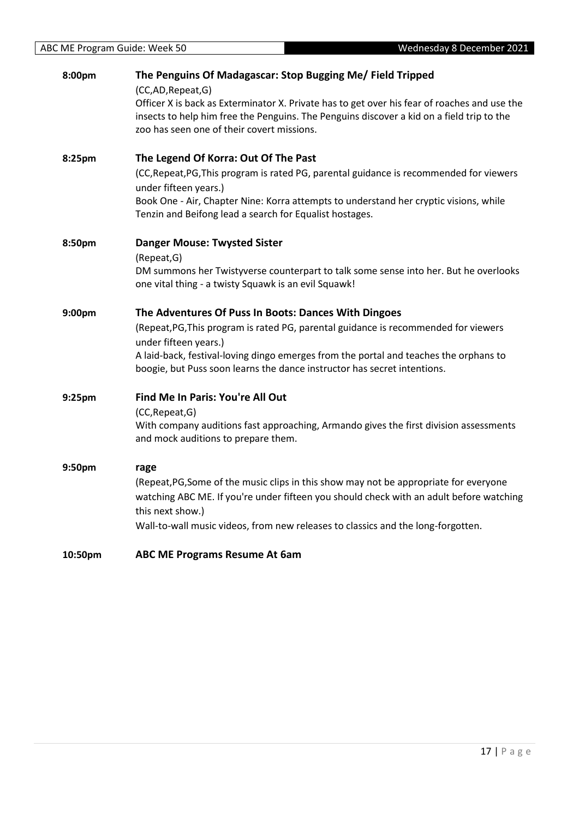| 8:00pm  | The Penguins Of Madagascar: Stop Bugging Me/ Field Tripped<br>(CC,AD,Repeat,G)<br>Officer X is back as Exterminator X. Private has to get over his fear of roaches and use the<br>insects to help him free the Penguins. The Penguins discover a kid on a field trip to the<br>zoo has seen one of their covert missions.                 |
|---------|-------------------------------------------------------------------------------------------------------------------------------------------------------------------------------------------------------------------------------------------------------------------------------------------------------------------------------------------|
| 8:25pm  | The Legend Of Korra: Out Of The Past<br>(CC, Repeat, PG, This program is rated PG, parental guidance is recommended for viewers<br>under fifteen years.)<br>Book One - Air, Chapter Nine: Korra attempts to understand her cryptic visions, while<br>Tenzin and Beifong lead a search for Equalist hostages.                              |
| 8:50pm  | <b>Danger Mouse: Twysted Sister</b><br>(Repeat, G)<br>DM summons her Twistyverse counterpart to talk some sense into her. But he overlooks<br>one vital thing - a twisty Squawk is an evil Squawk!                                                                                                                                        |
| 9:00pm  | The Adventures Of Puss In Boots: Dances With Dingoes<br>(Repeat, PG, This program is rated PG, parental guidance is recommended for viewers<br>under fifteen years.)<br>A laid-back, festival-loving dingo emerges from the portal and teaches the orphans to<br>boogie, but Puss soon learns the dance instructor has secret intentions. |
| 9:25pm  | Find Me In Paris: You're All Out<br>(CC, Repeat, G)<br>With company auditions fast approaching, Armando gives the first division assessments<br>and mock auditions to prepare them.                                                                                                                                                       |
| 9:50pm  | rage<br>(Repeat, PG, Some of the music clips in this show may not be appropriate for everyone<br>watching ABC ME. If you're under fifteen you should check with an adult before watching<br>this next show.)<br>Wall-to-wall music videos, from new releases to classics and the long-forgotten.                                          |
| 10:50pm | <b>ABC ME Programs Resume At 6am</b>                                                                                                                                                                                                                                                                                                      |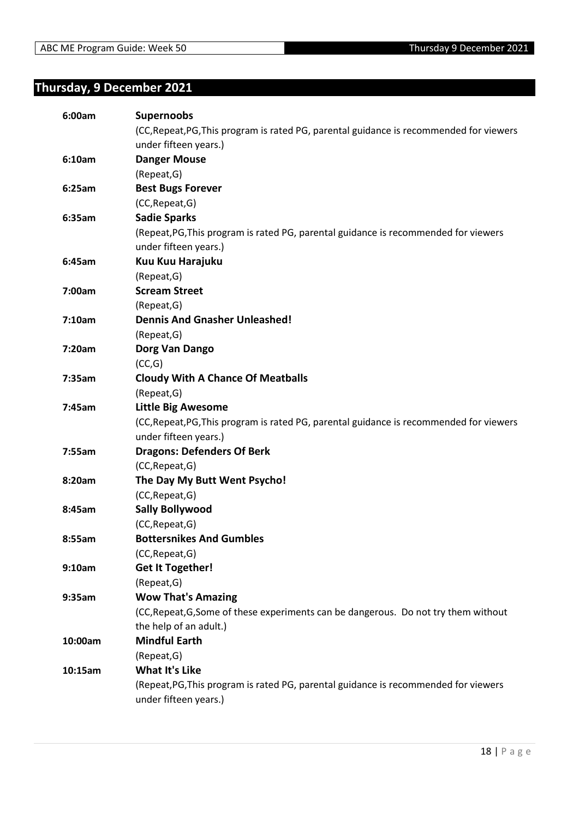### <span id="page-17-0"></span>**Thursday, 9 December 2021**

| 6:00am  | <b>Supernoobs</b>                                                                       |
|---------|-----------------------------------------------------------------------------------------|
|         | (CC, Repeat, PG, This program is rated PG, parental guidance is recommended for viewers |
|         | under fifteen years.)                                                                   |
| 6:10am  | <b>Danger Mouse</b>                                                                     |
|         | (Repeat, G)                                                                             |
| 6:25am  | <b>Best Bugs Forever</b>                                                                |
|         | (CC, Repeat, G)                                                                         |
| 6:35am  | <b>Sadie Sparks</b>                                                                     |
|         | (Repeat, PG, This program is rated PG, parental guidance is recommended for viewers     |
|         | under fifteen years.)                                                                   |
| 6:45am  | Kuu Kuu Harajuku                                                                        |
|         | (Repeat, G)                                                                             |
| 7:00am  | <b>Scream Street</b>                                                                    |
|         | (Repeat, G)                                                                             |
| 7:10am  | <b>Dennis And Gnasher Unleashed!</b>                                                    |
|         | (Repeat, G)                                                                             |
| 7:20am  | Dorg Van Dango                                                                          |
|         | (CC,G)                                                                                  |
| 7:35am  | <b>Cloudy With A Chance Of Meatballs</b>                                                |
|         | (Repeat, G)                                                                             |
| 7:45am  | <b>Little Big Awesome</b>                                                               |
|         | (CC, Repeat, PG, This program is rated PG, parental guidance is recommended for viewers |
|         | under fifteen years.)                                                                   |
| 7:55am  | <b>Dragons: Defenders Of Berk</b>                                                       |
|         | (CC, Repeat, G)                                                                         |
| 8:20am  | The Day My Butt Went Psycho!                                                            |
|         | (CC, Repeat, G)                                                                         |
| 8:45am  | <b>Sally Bollywood</b>                                                                  |
|         | (CC, Repeat, G)                                                                         |
| 8:55am  | <b>Bottersnikes And Gumbles</b>                                                         |
|         | (CC, Repeat, G)                                                                         |
| 9:10am  | <b>Get It Together!</b>                                                                 |
|         | (Repeat, G)                                                                             |
| 9:35am  | <b>Wow That's Amazing</b>                                                               |
|         | (CC, Repeat, G, Some of these experiments can be dangerous. Do not try them without     |
|         | the help of an adult.)                                                                  |
| 10:00am | <b>Mindful Earth</b>                                                                    |
|         | (Repeat, G)                                                                             |
| 10:15am | <b>What It's Like</b>                                                                   |
|         | (Repeat, PG, This program is rated PG, parental guidance is recommended for viewers     |
|         | under fifteen years.)                                                                   |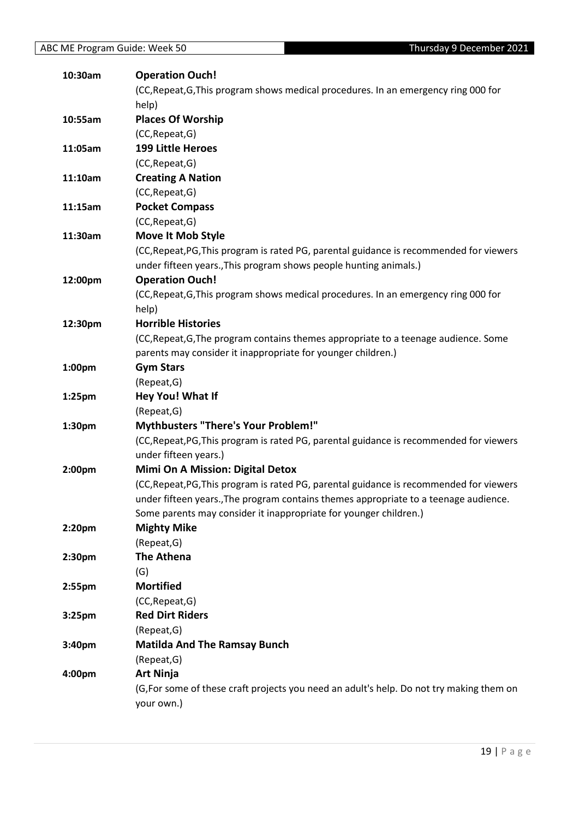| 10:30am            | <b>Operation Ouch!</b>                                                                   |
|--------------------|------------------------------------------------------------------------------------------|
|                    | (CC, Repeat, G, This program shows medical procedures. In an emergency ring 000 for      |
|                    | help)                                                                                    |
| 10:55am            | <b>Places Of Worship</b>                                                                 |
|                    | (CC, Repeat, G)                                                                          |
| 11:05am            | <b>199 Little Heroes</b>                                                                 |
|                    | (CC, Repeat, G)                                                                          |
| 11:10am            | <b>Creating A Nation</b>                                                                 |
|                    | (CC, Repeat, G)                                                                          |
| 11:15am            | <b>Pocket Compass</b>                                                                    |
|                    | (CC, Repeat, G)                                                                          |
| 11:30am            | Move It Mob Style                                                                        |
|                    | (CC, Repeat, PG, This program is rated PG, parental guidance is recommended for viewers  |
|                    | under fifteen years., This program shows people hunting animals.)                        |
| 12:00pm            | <b>Operation Ouch!</b>                                                                   |
|                    | (CC, Repeat, G, This program shows medical procedures. In an emergency ring 000 for      |
|                    | help)                                                                                    |
| 12:30pm            | <b>Horrible Histories</b>                                                                |
|                    | (CC, Repeat, G, The program contains themes appropriate to a teenage audience. Some      |
|                    | parents may consider it inappropriate for younger children.)                             |
| 1:00pm             | <b>Gym Stars</b>                                                                         |
|                    | (Repeat, G)                                                                              |
| 1:25 <sub>pm</sub> | Hey You! What If                                                                         |
|                    | (Repeat, G)                                                                              |
| 1:30pm             | <b>Mythbusters "There's Your Problem!"</b>                                               |
|                    | (CC, Repeat, PG, This program is rated PG, parental guidance is recommended for viewers  |
|                    | under fifteen years.)                                                                    |
| 2:00pm             | <b>Mimi On A Mission: Digital Detox</b>                                                  |
|                    | (CC, Repeat, PG, This program is rated PG, parental guidance is recommended for viewers  |
|                    | under fifteen years., The program contains themes appropriate to a teenage audience.     |
|                    | Some parents may consider it inappropriate for younger children.)                        |
| 2:20 <sub>pm</sub> | <b>Mighty Mike</b>                                                                       |
|                    | (Repeat, G)                                                                              |
| 2:30 <sub>pm</sub> | <b>The Athena</b>                                                                        |
|                    | (G)                                                                                      |
| 2:55pm             | <b>Mortified</b>                                                                         |
|                    | (CC, Repeat, G)                                                                          |
| 3:25 <sub>pm</sub> | <b>Red Dirt Riders</b>                                                                   |
|                    | (Repeat, G)                                                                              |
| 3:40pm             | <b>Matilda And The Ramsay Bunch</b>                                                      |
|                    | (Repeat, G)                                                                              |
| 4:00pm             | <b>Art Ninja</b>                                                                         |
|                    | (G, For some of these craft projects you need an adult's help. Do not try making them on |
|                    | your own.)                                                                               |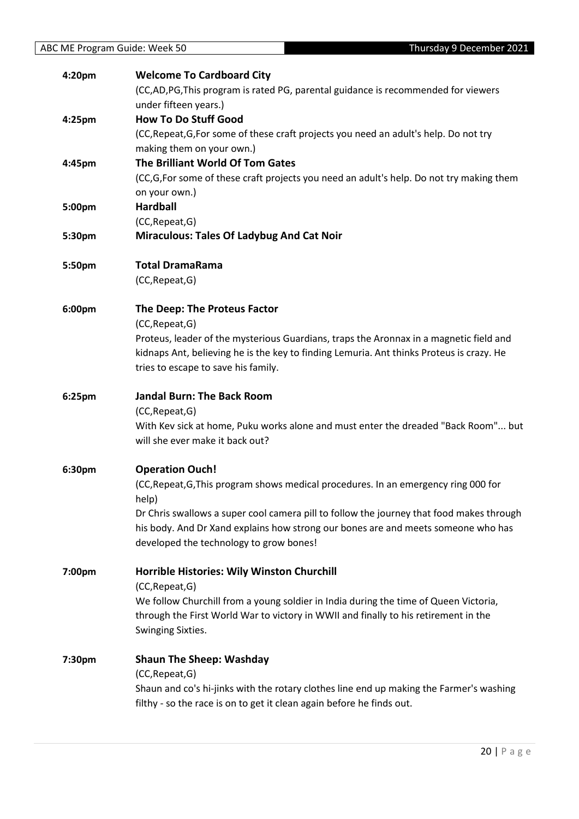| 4:20pm | <b>Welcome To Cardboard City</b>                                                         |
|--------|------------------------------------------------------------------------------------------|
|        | (CC,AD,PG,This program is rated PG, parental guidance is recommended for viewers         |
|        | under fifteen years.)                                                                    |
| 4:25pm | <b>How To Do Stuff Good</b>                                                              |
|        | (CC, Repeat, G, For some of these craft projects you need an adult's help. Do not try    |
|        | making them on your own.)                                                                |
| 4:45pm | The Brilliant World Of Tom Gates                                                         |
|        | (CC,G,For some of these craft projects you need an adult's help. Do not try making them  |
|        | on your own.)                                                                            |
| 5:00pm | <b>Hardball</b>                                                                          |
|        | (CC, Repeat, G)                                                                          |
| 5:30pm | <b>Miraculous: Tales Of Ladybug And Cat Noir</b>                                         |
| 5:50pm | <b>Total DramaRama</b>                                                                   |
|        | (CC, Repeat, G)                                                                          |
| 6:00pm | The Deep: The Proteus Factor                                                             |
|        | (CC, Repeat, G)                                                                          |
|        | Proteus, leader of the mysterious Guardians, traps the Aronnax in a magnetic field and   |
|        | kidnaps Ant, believing he is the key to finding Lemuria. Ant thinks Proteus is crazy. He |
|        | tries to escape to save his family.                                                      |
| 6:25pm | <b>Jandal Burn: The Back Room</b>                                                        |
|        | (CC, Repeat, G)                                                                          |
|        | With Kev sick at home, Puku works alone and must enter the dreaded "Back Room" but       |
|        | will she ever make it back out?                                                          |
| 6:30pm | <b>Operation Ouch!</b>                                                                   |
|        | (CC, Repeat, G, This program shows medical procedures. In an emergency ring 000 for      |
|        | help)                                                                                    |
|        | Dr Chris swallows a super cool camera pill to follow the journey that food makes through |
|        | his body. And Dr Xand explains how strong our bones are and meets someone who has        |
|        | developed the technology to grow bones!                                                  |
| 7:00pm | <b>Horrible Histories: Wily Winston Churchill</b>                                        |
|        | (CC, Repeat, G)                                                                          |
|        | We follow Churchill from a young soldier in India during the time of Queen Victoria,     |
|        | through the First World War to victory in WWII and finally to his retirement in the      |
|        | Swinging Sixties.                                                                        |
| 7:30pm | <b>Shaun The Sheep: Washday</b>                                                          |
|        | (CC, Repeat, G)                                                                          |
|        | Shaun and co's hi-jinks with the rotary clothes line end up making the Farmer's washing  |
|        | filthy - so the race is on to get it clean again before he finds out.                    |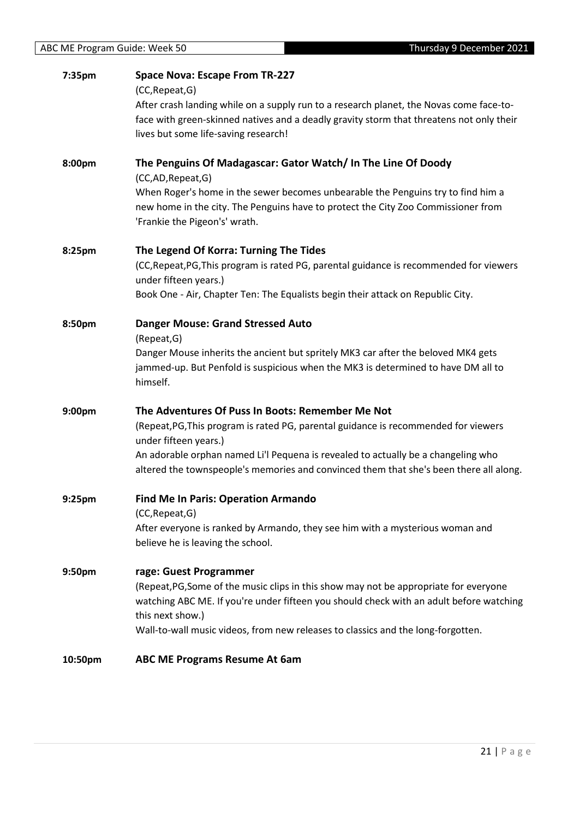| 7:35pm             | <b>Space Nova: Escape From TR-227</b><br>(CC, Repeat, G)<br>After crash landing while on a supply run to a research planet, the Novas come face-to-<br>face with green-skinned natives and a deadly gravity storm that threatens not only their<br>lives but some life-saving research!                                                         |
|--------------------|-------------------------------------------------------------------------------------------------------------------------------------------------------------------------------------------------------------------------------------------------------------------------------------------------------------------------------------------------|
| 8:00pm             | The Penguins Of Madagascar: Gator Watch/ In The Line Of Doody<br>(CC,AD,Repeat,G)                                                                                                                                                                                                                                                               |
|                    | When Roger's home in the sewer becomes unbearable the Penguins try to find him a<br>new home in the city. The Penguins have to protect the City Zoo Commissioner from<br>'Frankie the Pigeon's' wrath.                                                                                                                                          |
| 8:25pm             | The Legend Of Korra: Turning The Tides<br>(CC, Repeat, PG, This program is rated PG, parental guidance is recommended for viewers<br>under fifteen years.)<br>Book One - Air, Chapter Ten: The Equalists begin their attack on Republic City.                                                                                                   |
| 8:50pm             | <b>Danger Mouse: Grand Stressed Auto</b><br>(Repeat, G)<br>Danger Mouse inherits the ancient but spritely MK3 car after the beloved MK4 gets<br>jammed-up. But Penfold is suspicious when the MK3 is determined to have DM all to<br>himself.                                                                                                   |
| 9:00pm             | The Adventures Of Puss In Boots: Remember Me Not<br>(Repeat, PG, This program is rated PG, parental guidance is recommended for viewers<br>under fifteen years.)<br>An adorable orphan named Li'l Pequena is revealed to actually be a changeling who<br>altered the townspeople's memories and convinced them that she's been there all along. |
| 9:25pm             | <b>Find Me In Paris: Operation Armando</b><br>(CC, Repeat, G)<br>After everyone is ranked by Armando, they see him with a mysterious woman and<br>believe he is leaving the school.                                                                                                                                                             |
| 9:50 <sub>pm</sub> | rage: Guest Programmer<br>(Repeat, PG, Some of the music clips in this show may not be appropriate for everyone<br>watching ABC ME. If you're under fifteen you should check with an adult before watching<br>this next show.)<br>Wall-to-wall music videos, from new releases to classics and the long-forgotten.                              |
| 10:50pm            | <b>ABC ME Programs Resume At 6am</b>                                                                                                                                                                                                                                                                                                            |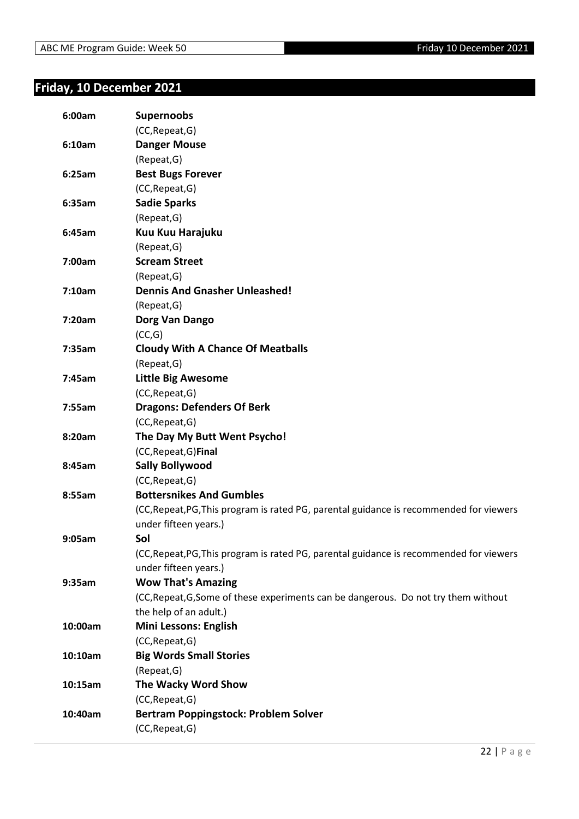## <span id="page-21-0"></span>**Friday, 10 December 2021**

| 6:00am  | <b>Supernoobs</b>                                                                       |
|---------|-----------------------------------------------------------------------------------------|
|         | (CC, Repeat, G)                                                                         |
| 6:10am  | <b>Danger Mouse</b>                                                                     |
|         | (Repeat, G)                                                                             |
| 6:25am  | <b>Best Bugs Forever</b>                                                                |
|         | (CC, Repeat, G)                                                                         |
| 6:35am  | <b>Sadie Sparks</b>                                                                     |
|         | (Repeat, G)                                                                             |
| 6:45am  | Kuu Kuu Harajuku                                                                        |
|         | (Repeat, G)                                                                             |
| 7:00am  | <b>Scream Street</b>                                                                    |
|         | (Repeat, G)                                                                             |
| 7:10am  | <b>Dennis And Gnasher Unleashed!</b>                                                    |
|         | (Repeat, G)                                                                             |
| 7:20am  | Dorg Van Dango                                                                          |
|         | (CC,G)                                                                                  |
| 7:35am  | <b>Cloudy With A Chance Of Meatballs</b>                                                |
|         | (Repeat, G)                                                                             |
| 7:45am  | <b>Little Big Awesome</b>                                                               |
|         | (CC, Repeat, G)                                                                         |
| 7:55am  | <b>Dragons: Defenders Of Berk</b>                                                       |
|         | (CC, Repeat, G)                                                                         |
| 8:20am  | The Day My Butt Went Psycho!                                                            |
|         | (CC, Repeat, G) Final                                                                   |
| 8:45am  | <b>Sally Bollywood</b>                                                                  |
|         | (CC, Repeat, G)                                                                         |
| 8:55am  | <b>Bottersnikes And Gumbles</b>                                                         |
|         | (CC, Repeat, PG, This program is rated PG, parental guidance is recommended for viewers |
|         | under fifteen years.)                                                                   |
| 9:05am  | Sol                                                                                     |
|         | (CC, Repeat, PG, This program is rated PG, parental guidance is recommended for viewers |
|         | under fifteen years.)                                                                   |
| 9:35am  | <b>Wow That's Amazing</b>                                                               |
|         | (CC, Repeat, G, Some of these experiments can be dangerous. Do not try them without     |
|         | the help of an adult.)                                                                  |
| 10:00am | <b>Mini Lessons: English</b>                                                            |
|         | (CC, Repeat, G)                                                                         |
| 10:10am | <b>Big Words Small Stories</b>                                                          |
|         | (Repeat, G)                                                                             |
| 10:15am | The Wacky Word Show                                                                     |
|         | (CC, Repeat, G)                                                                         |
| 10:40am | <b>Bertram Poppingstock: Problem Solver</b>                                             |
|         | (CC, Repeat, G)                                                                         |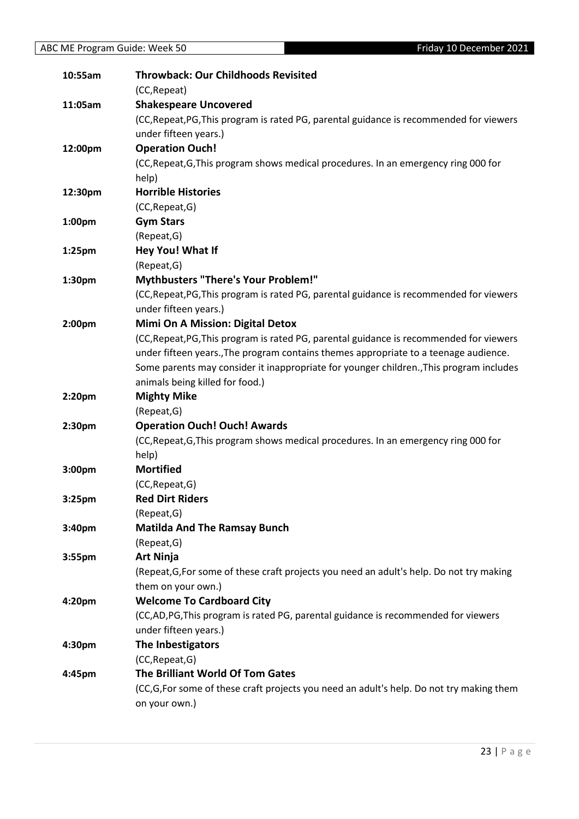| 10:55am            | <b>Throwback: Our Childhoods Revisited</b>                                               |
|--------------------|------------------------------------------------------------------------------------------|
|                    | (CC, Repeat)                                                                             |
| 11:05am            | <b>Shakespeare Uncovered</b>                                                             |
|                    | (CC, Repeat, PG, This program is rated PG, parental guidance is recommended for viewers  |
|                    | under fifteen years.)                                                                    |
| 12:00pm            | <b>Operation Ouch!</b>                                                                   |
|                    | (CC, Repeat, G, This program shows medical procedures. In an emergency ring 000 for      |
|                    | help)                                                                                    |
| 12:30pm            | <b>Horrible Histories</b>                                                                |
|                    | (CC, Repeat, G)                                                                          |
| 1:00pm             | <b>Gym Stars</b>                                                                         |
|                    | (Repeat, G)                                                                              |
| 1:25 <sub>pm</sub> | Hey You! What If                                                                         |
|                    | (Repeat, G)                                                                              |
| 1:30pm             | <b>Mythbusters "There's Your Problem!"</b>                                               |
|                    | (CC, Repeat, PG, This program is rated PG, parental guidance is recommended for viewers  |
|                    | under fifteen years.)                                                                    |
| 2:00 <sub>pm</sub> | <b>Mimi On A Mission: Digital Detox</b>                                                  |
|                    | (CC, Repeat, PG, This program is rated PG, parental guidance is recommended for viewers  |
|                    | under fifteen years., The program contains themes appropriate to a teenage audience.     |
|                    | Some parents may consider it inappropriate for younger children., This program includes  |
|                    | animals being killed for food.)                                                          |
| 2:20pm             | <b>Mighty Mike</b>                                                                       |
|                    | (Repeat, G)                                                                              |
| 2:30pm             | <b>Operation Ouch! Ouch! Awards</b>                                                      |
|                    | (CC, Repeat, G, This program shows medical procedures. In an emergency ring 000 for      |
|                    | help)                                                                                    |
| 3:00pm             | <b>Mortified</b>                                                                         |
|                    | (CC, Repeat, G)                                                                          |
| 3:25pm             | <b>Red Dirt Riders</b>                                                                   |
|                    | (Repeat, G)                                                                              |
| 3:40 <sub>pm</sub> | <b>Matilda And The Ramsay Bunch</b>                                                      |
|                    | (Repeat, G)                                                                              |
| 3:55 <sub>pm</sub> | <b>Art Ninja</b>                                                                         |
|                    | (Repeat, G, For some of these craft projects you need an adult's help. Do not try making |
|                    | them on your own.)                                                                       |
| 4:20pm             | <b>Welcome To Cardboard City</b>                                                         |
|                    | (CC,AD,PG,This program is rated PG, parental guidance is recommended for viewers         |
|                    | under fifteen years.)                                                                    |
| 4:30pm             | The Inbestigators                                                                        |
|                    | (CC, Repeat, G)                                                                          |
| 4:45pm             | The Brilliant World Of Tom Gates                                                         |
|                    |                                                                                          |
|                    | (CC,G,For some of these craft projects you need an adult's help. Do not try making them  |
|                    | on your own.)                                                                            |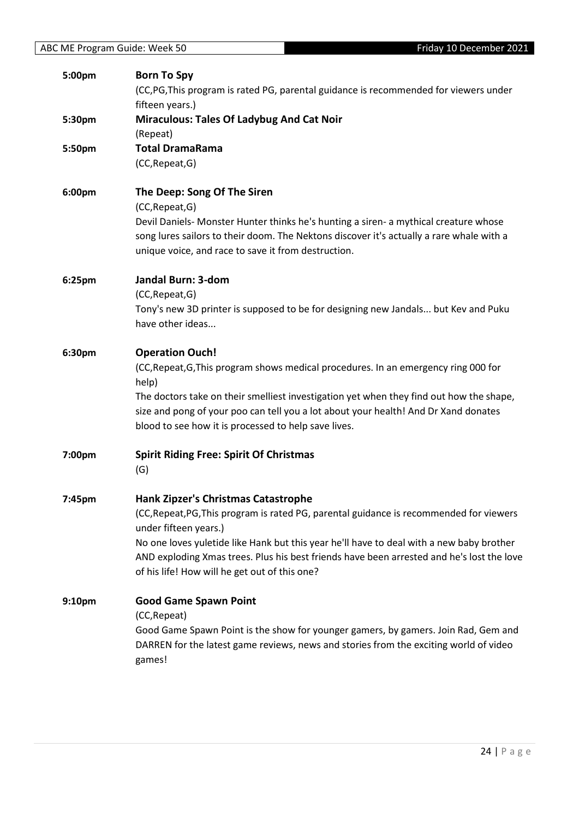| 5:00pm             | <b>Born To Spy</b><br>(CC,PG,This program is rated PG, parental guidance is recommended for viewers under<br>fifteen years.)                                                                                                                                                                                                                                                                             |
|--------------------|----------------------------------------------------------------------------------------------------------------------------------------------------------------------------------------------------------------------------------------------------------------------------------------------------------------------------------------------------------------------------------------------------------|
| 5:30pm             | <b>Miraculous: Tales Of Ladybug And Cat Noir</b><br>(Repeat)                                                                                                                                                                                                                                                                                                                                             |
| 5:50pm             | <b>Total DramaRama</b><br>(CC, Repeat, G)                                                                                                                                                                                                                                                                                                                                                                |
| 6:00pm             | The Deep: Song Of The Siren<br>(CC, Repeat, G)<br>Devil Daniels- Monster Hunter thinks he's hunting a siren- a mythical creature whose<br>song lures sailors to their doom. The Nektons discover it's actually a rare whale with a<br>unique voice, and race to save it from destruction.                                                                                                                |
| 6:25pm             | Jandal Burn: 3-dom<br>(CC, Repeat, G)<br>Tony's new 3D printer is supposed to be for designing new Jandals but Kev and Puku<br>have other ideas                                                                                                                                                                                                                                                          |
| 6:30pm             | <b>Operation Ouch!</b><br>(CC, Repeat, G, This program shows medical procedures. In an emergency ring 000 for<br>help)<br>The doctors take on their smelliest investigation yet when they find out how the shape,<br>size and pong of your poo can tell you a lot about your health! And Dr Xand donates<br>blood to see how it is processed to help save lives.                                         |
| 7:00pm             | <b>Spirit Riding Free: Spirit Of Christmas</b><br>(G)                                                                                                                                                                                                                                                                                                                                                    |
| 7:45pm             | <b>Hank Zipzer's Christmas Catastrophe</b><br>(CC, Repeat, PG, This program is rated PG, parental guidance is recommended for viewers<br>under fifteen years.)<br>No one loves yuletide like Hank but this year he'll have to deal with a new baby brother<br>AND exploding Xmas trees. Plus his best friends have been arrested and he's lost the love<br>of his life! How will he get out of this one? |
| 9:10 <sub>pm</sub> | <b>Good Game Spawn Point</b><br>(CC, Repeat)<br>Good Game Spawn Point is the show for younger gamers, by gamers. Join Rad, Gem and<br>DARREN for the latest game reviews, news and stories from the exciting world of video<br>games!                                                                                                                                                                    |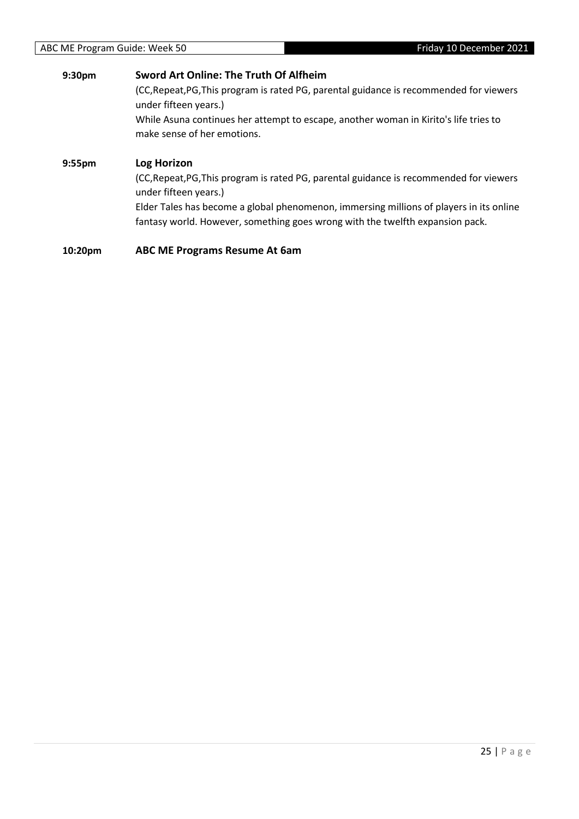#### **9:30pm Sword Art Online: The Truth Of Alfheim** (CC,Repeat,PG,This program is rated PG, parental guidance is recommended for viewers under fifteen years.) While Asuna continues her attempt to escape, another woman in Kirito's life tries to make sense of her emotions. **9:55pm Log Horizon** (CC,Repeat,PG,This program is rated PG, parental guidance is recommended for viewers under fifteen years.)

Elder Tales has become a global phenomenon, immersing millions of players in its online fantasy world. However, something goes wrong with the twelfth expansion pack.

**10:20pm ABC ME Programs Resume At 6am**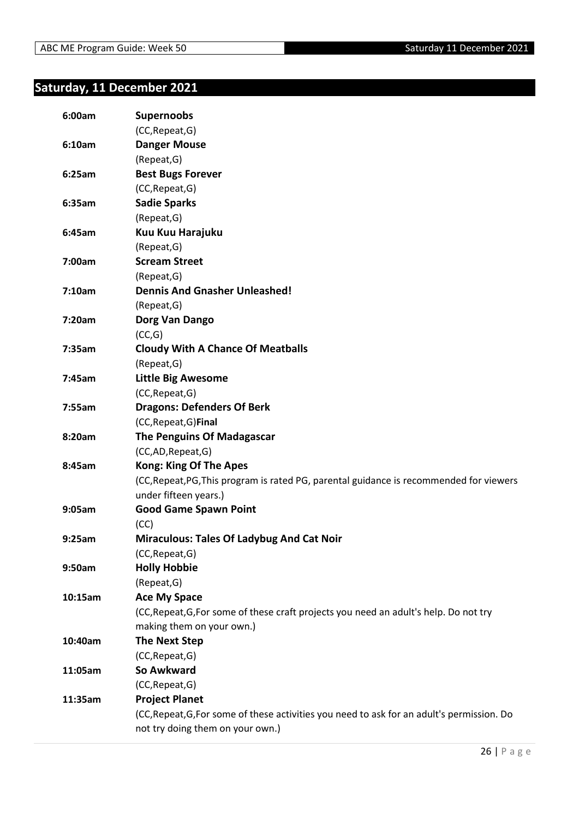## <span id="page-25-0"></span>**Saturday, 11 December 2021**

| 6:00am  | <b>Supernoobs</b>                                                                          |
|---------|--------------------------------------------------------------------------------------------|
|         | (CC, Repeat, G)                                                                            |
| 6:10am  | <b>Danger Mouse</b>                                                                        |
|         | (Repeat, G)                                                                                |
| 6:25am  | <b>Best Bugs Forever</b>                                                                   |
|         | (CC, Repeat, G)                                                                            |
| 6:35am  | <b>Sadie Sparks</b>                                                                        |
|         | (Repeat, G)                                                                                |
| 6:45am  | Kuu Kuu Harajuku                                                                           |
|         | (Repeat, G)                                                                                |
| 7:00am  | <b>Scream Street</b>                                                                       |
|         | (Repeat, G)                                                                                |
| 7:10am  | <b>Dennis And Gnasher Unleashed!</b>                                                       |
|         | (Repeat, G)                                                                                |
| 7:20am  | Dorg Van Dango                                                                             |
|         | (CC,G)                                                                                     |
| 7:35am  | <b>Cloudy With A Chance Of Meatballs</b>                                                   |
|         | (Repeat, G)                                                                                |
| 7:45am  | <b>Little Big Awesome</b>                                                                  |
|         | (CC, Repeat, G)                                                                            |
| 7:55am  | <b>Dragons: Defenders Of Berk</b>                                                          |
|         | (CC, Repeat, G) Final                                                                      |
| 8:20am  | The Penguins Of Madagascar                                                                 |
|         | (CC,AD,Repeat,G)                                                                           |
| 8:45am  | <b>Kong: King Of The Apes</b>                                                              |
|         | (CC, Repeat, PG, This program is rated PG, parental guidance is recommended for viewers    |
|         | under fifteen years.)                                                                      |
| 9:05am  | <b>Good Game Spawn Point</b>                                                               |
|         | (CC)                                                                                       |
| 9:25am  | <b>Miraculous: Tales Of Ladybug And Cat Noir</b>                                           |
|         | (CC, Repeat, G)                                                                            |
| 9:50am  | <b>Holly Hobbie</b>                                                                        |
|         | (Repeat, G)                                                                                |
| 10:15am | <b>Ace My Space</b>                                                                        |
|         | (CC, Repeat, G, For some of these craft projects you need an adult's help. Do not try      |
|         | making them on your own.)                                                                  |
| 10:40am | <b>The Next Step</b>                                                                       |
|         | (CC, Repeat, G)                                                                            |
| 11:05am | So Awkward                                                                                 |
|         | (CC, Repeat, G)                                                                            |
| 11:35am | <b>Project Planet</b>                                                                      |
|         | (CC, Repeat, G, For some of these activities you need to ask for an adult's permission. Do |
|         | not try doing them on your own.)                                                           |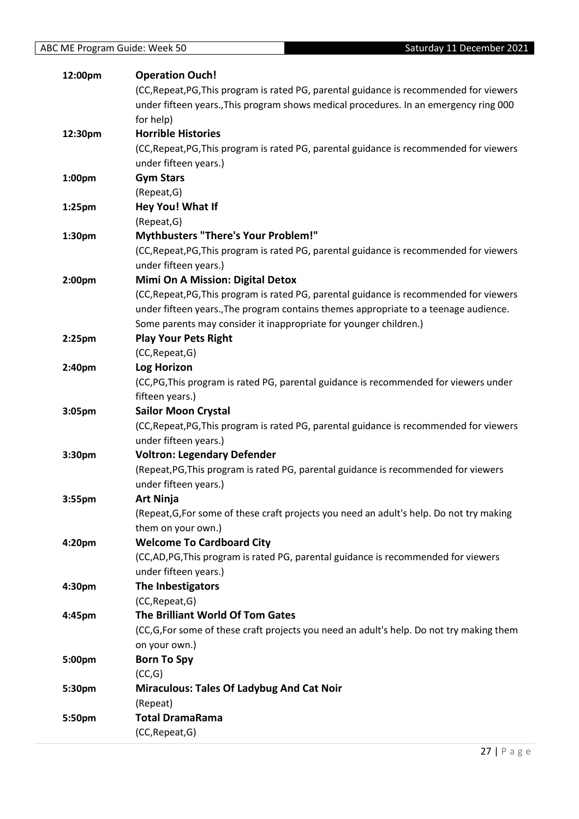| 12:00pm   | <b>Operation Ouch!</b>                                                                    |
|-----------|-------------------------------------------------------------------------------------------|
|           | (CC, Repeat, PG, This program is rated PG, parental guidance is recommended for viewers   |
|           | under fifteen years., This program shows medical procedures. In an emergency ring 000     |
|           | for help)                                                                                 |
| 12:30pm   | <b>Horrible Histories</b>                                                                 |
|           | (CC, Repeat, PG, This program is rated PG, parental guidance is recommended for viewers   |
|           | under fifteen years.)                                                                     |
| 1:00pm    | <b>Gym Stars</b>                                                                          |
|           | (Repeat, G)                                                                               |
| 1:25pm    | Hey You! What If                                                                          |
|           | (Repeat, G)                                                                               |
| 1:30pm    | <b>Mythbusters "There's Your Problem!"</b>                                                |
|           | (CC, Repeat, PG, This program is rated PG, parental guidance is recommended for viewers   |
|           | under fifteen years.)                                                                     |
| 2:00pm    | <b>Mimi On A Mission: Digital Detox</b>                                                   |
|           | (CC, Repeat, PG, This program is rated PG, parental guidance is recommended for viewers   |
|           | under fifteen years., The program contains themes appropriate to a teenage audience.      |
|           | Some parents may consider it inappropriate for younger children.)                         |
| $2:25$ pm | <b>Play Your Pets Right</b>                                                               |
|           | (CC, Repeat, G)                                                                           |
| 2:40pm    | <b>Log Horizon</b>                                                                        |
|           | (CC,PG,This program is rated PG, parental guidance is recommended for viewers under       |
|           | fifteen years.)                                                                           |
| 3:05pm    | <b>Sailor Moon Crystal</b>                                                                |
|           | (CC, Repeat, PG, This program is rated PG, parental guidance is recommended for viewers   |
|           | under fifteen years.)                                                                     |
| 3:30pm    | <b>Voltron: Legendary Defender</b>                                                        |
|           | (Repeat, PG, This program is rated PG, parental guidance is recommended for viewers       |
|           | under fifteen years.)                                                                     |
| 3:55pm    | <b>Art Ninja</b>                                                                          |
|           | (Repeat, G, For some of these craft projects you need an adult's help. Do not try making  |
|           | them on your own.)                                                                        |
| 4:20pm    | <b>Welcome To Cardboard City</b>                                                          |
|           | (CC,AD,PG,This program is rated PG, parental guidance is recommended for viewers          |
|           | under fifteen years.)                                                                     |
| 4:30pm    | The Inbestigators                                                                         |
|           | (CC, Repeat, G)                                                                           |
| 4:45pm    | The Brilliant World Of Tom Gates                                                          |
|           | (CC, G, For some of these craft projects you need an adult's help. Do not try making them |
|           | on your own.)                                                                             |
| 5:00pm    | <b>Born To Spy</b>                                                                        |
|           | (CC,G)                                                                                    |
| 5:30pm    | Miraculous: Tales Of Ladybug And Cat Noir                                                 |
|           | (Repeat)                                                                                  |
| 5:50pm    | <b>Total DramaRama</b>                                                                    |
|           | (CC, Repeat, G)                                                                           |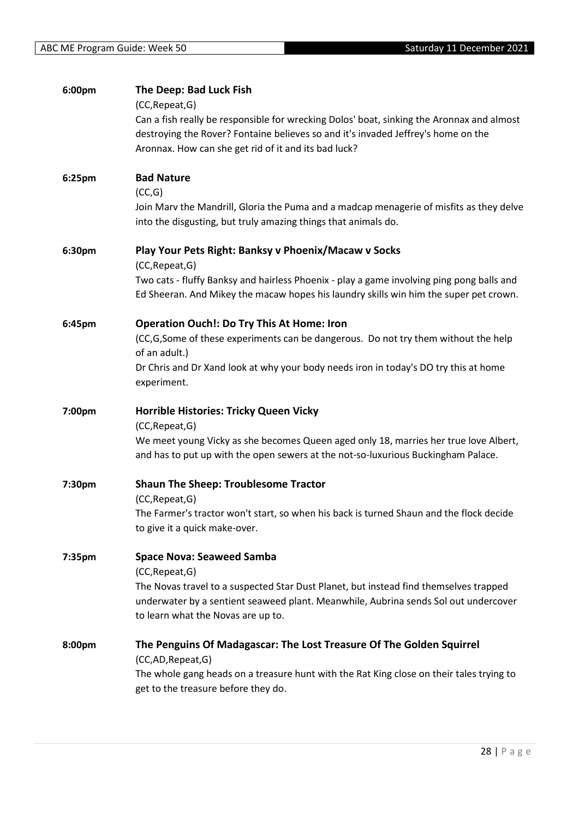| 6:00pm | The Deep: Bad Luck Fish                                                                   |
|--------|-------------------------------------------------------------------------------------------|
|        | (CC, Repeat, G)                                                                           |
|        | Can a fish really be responsible for wrecking Dolos' boat, sinking the Aronnax and almost |
|        | destroying the Rover? Fontaine believes so and it's invaded Jeffrey's home on the         |
|        | Aronnax. How can she get rid of it and its bad luck?                                      |
| 6:25pm | <b>Bad Nature</b>                                                                         |
|        | (CC,G)                                                                                    |
|        | Join Marv the Mandrill, Gloria the Puma and a madcap menagerie of misfits as they delve   |
|        | into the disgusting, but truly amazing things that animals do.                            |
| 6:30pm | Play Your Pets Right: Banksy v Phoenix/Macaw v Socks                                      |
|        | (CC, Repeat, G)                                                                           |
|        | Two cats - fluffy Banksy and hairless Phoenix - play a game involving ping pong balls and |
|        | Ed Sheeran. And Mikey the macaw hopes his laundry skills win him the super pet crown.     |
| 6:45pm | <b>Operation Ouch!: Do Try This At Home: Iron</b>                                         |
|        | (CC,G,Some of these experiments can be dangerous. Do not try them without the help        |
|        | of an adult.)                                                                             |
|        | Dr Chris and Dr Xand look at why your body needs iron in today's DO try this at home      |
|        | experiment.                                                                               |
| 7:00pm | Horrible Histories: Tricky Queen Vicky                                                    |
|        | (CC, Repeat, G)                                                                           |
|        | We meet young Vicky as she becomes Queen aged only 18, marries her true love Albert,      |
|        | and has to put up with the open sewers at the not-so-luxurious Buckingham Palace.         |
| 7:30pm | <b>Shaun The Sheep: Troublesome Tractor</b>                                               |
|        | (CC, Repeat, G)                                                                           |
|        | The Farmer's tractor won't start, so when his back is turned Shaun and the flock decide   |
|        | to give it a quick make-over.                                                             |
| 7:35pm | <b>Space Nova: Seaweed Samba</b>                                                          |
|        | (CC, Repeat, G)                                                                           |
|        | The Novas travel to a suspected Star Dust Planet, but instead find themselves trapped     |
|        | underwater by a sentient seaweed plant. Meanwhile, Aubrina sends Sol out undercover       |
|        | to learn what the Novas are up to.                                                        |
| 8:00pm | The Penguins Of Madagascar: The Lost Treasure Of The Golden Squirrel                      |
|        | (CC,AD,Repeat,G)                                                                          |
|        | The whole gang heads on a treasure hunt with the Rat King close on their tales trying to  |
|        | get to the treasure before they do.                                                       |
|        |                                                                                           |